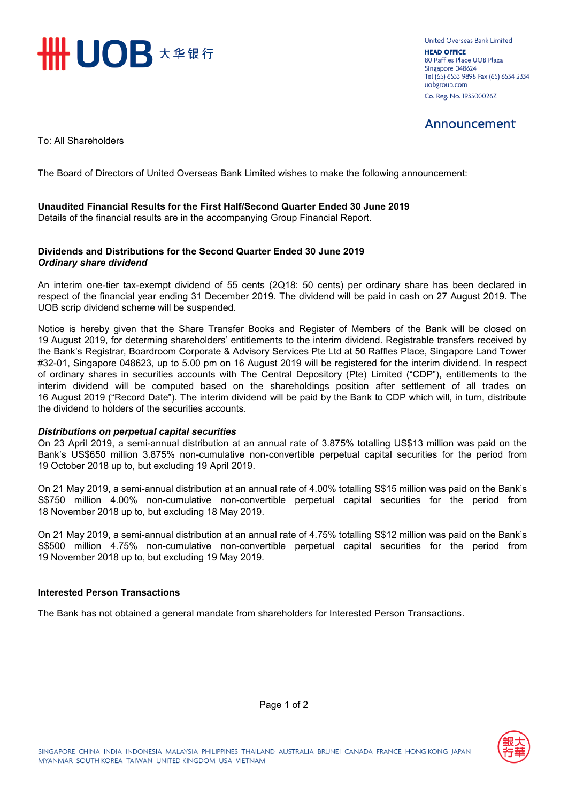

**United Overseas Bank Limited HEAD OFFICE** 80 Raffles Place UOB Plaza Singapore 048624 Tel (65) 6533 9898 Fax (65) 6534 2334 uobgroup.com Co. Reg. No. 193500026Z

## Announcement

To: All Shareholders

The Board of Directors of United Overseas Bank Limited wishes to make the following announcement:

### **Unaudited Financial Results for the First Half/Second Quarter Ended 30 June 2019**

Details of the financial results are in the accompanying Group Financial Report.

#### **Dividends and Distributions for the Second Quarter Ended 30 June 2019** *Ordinary share dividend*

An interim one-tier tax-exempt dividend of 55 cents (2Q18: 50 cents) per ordinary share has been declared in respect of the financial year ending 31 December 2019. The dividend will be paid in cash on 27 August 2019. The UOB scrip dividend scheme will be suspended.

Notice is hereby given that the Share Transfer Books and Register of Members of the Bank will be closed on 19 August 2019, for determing shareholders' entitlements to the interim dividend. Registrable transfers received by the Bank's Registrar, Boardroom Corporate & Advisory Services Pte Ltd at 50 Raffles Place, Singapore Land Tower #32-01, Singapore 048623, up to 5.00 pm on 16 August 2019 will be registered for the interim dividend. In respect of ordinary shares in securities accounts with The Central Depository (Pte) Limited ("CDP"), entitlements to the interim dividend will be computed based on the shareholdings position after settlement of all trades on 16 August 2019 ("Record Date"). The interim dividend will be paid by the Bank to CDP which will, in turn, distribute the dividend to holders of the securities accounts.

#### *Distributions on perpetual capital securities*

On 23 April 2019, a semi-annual distribution at an annual rate of 3.875% totalling US\$13 million was paid on the Bank's US\$650 million 3.875% non-cumulative non-convertible perpetual capital securities for the period from 19 October 2018 up to, but excluding 19 April 2019.

On 21 May 2019, a semi-annual distribution at an annual rate of 4.00% totalling S\$15 million was paid on the Bank's S\$750 million 4.00% non-cumulative non-convertible perpetual capital securities for the period from 18 November 2018 up to, but excluding 18 May 2019.

On 21 May 2019, a semi-annual distribution at an annual rate of 4.75% totalling S\$12 million was paid on the Bank's S\$500 million 4.75% non-cumulative non-convertible perpetual capital securities for the period from 19 November 2018 up to, but excluding 19 May 2019.

#### **Interested Person Transactions**

The Bank has not obtained a general mandate from shareholders for Interested Person Transactions.



Page 1 of 2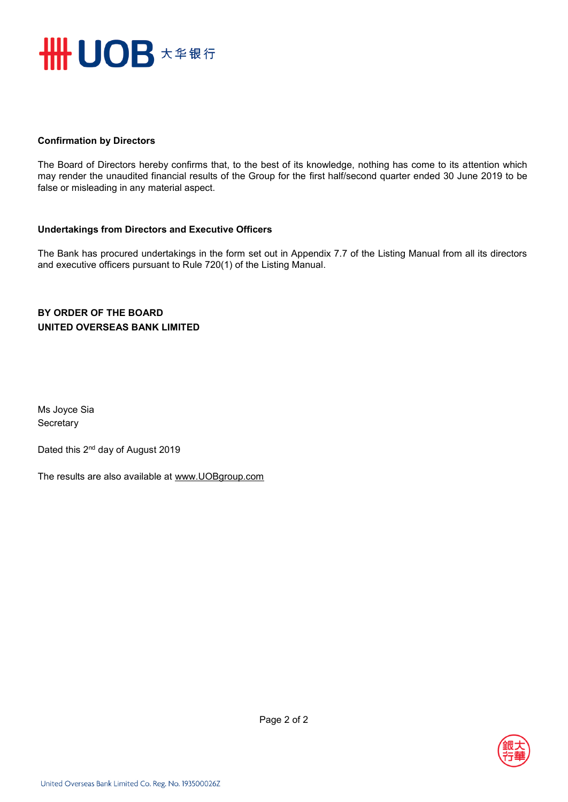

### **Confirmation by Directors**

The Board of Directors hereby confirms that, to the best of its knowledge, nothing has come to its attention which may render the unaudited financial results of the Group for the first half/second quarter ended 30 June 2019 to be false or misleading in any material aspect.

### **Undertakings from Directors and Executive Officers**

The Bank has procured undertakings in the form set out in Appendix 7.7 of the Listing Manual from all its directors and executive officers pursuant to Rule 720(1) of the Listing Manual.

## **BY ORDER OF THE BOARD UNITED OVERSEAS BANK LIMITED**

Ms Joyce Sia **Secretary** 

Dated this 2<sup>nd</sup> day of August 2019

The results are also available at www.UOBgroup.com

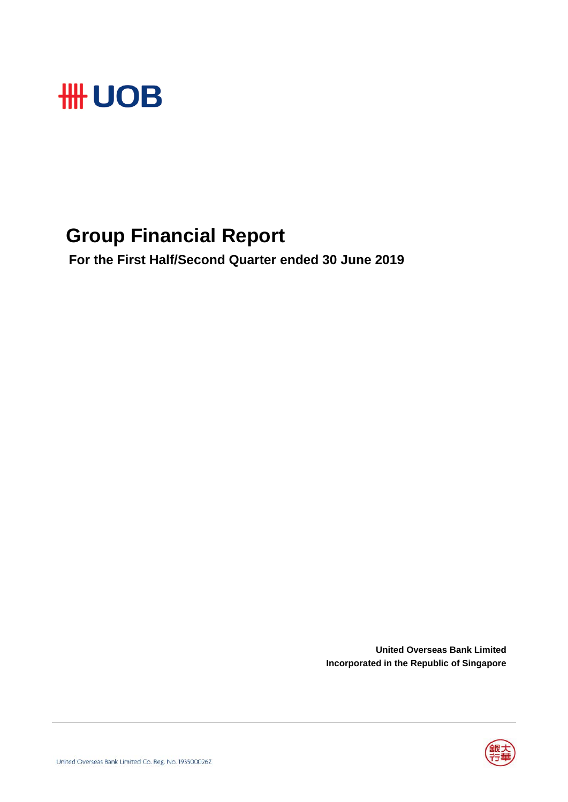

## **Group Financial Report**

 **For the First Half/Second Quarter ended 30 June 2019**

**United Overseas Bank Limited Incorporated in the Republic of Singapore**

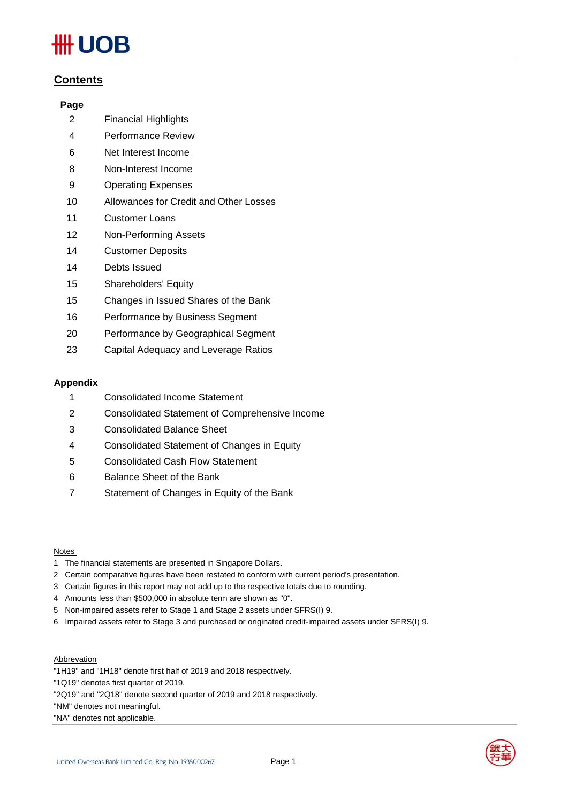# **IOB**

## **Contents**

### **Page**

- 2 Financial Highlights
- 4 Performance Review
- 6 Net Interest Income
- 8 Non-Interest Income
- 9 Operating Expenses
- 10 Allowances for Credit and Other Losses
- 11 Customer Loans
- 12 Non-Performing Assets
- 14 Customer Deposits
- 14 Debts Issued
- 15 Shareholders' Equity
- 15 Changes in Issued Shares of the Bank
- 16 Performance by Business Segment
- 20 Performance by Geographical Segment
- 23 Capital Adequacy and Leverage Ratios

### **Appendix**

- 1 Consolidated Income Statement
- 2 Consolidated Statement of Comprehensive Income
- 3 Consolidated Balance Sheet
- 4 Consolidated Statement of Changes in Equity
- 5 Consolidated Cash Flow Statement
- 6 Balance Sheet of the Bank
- 7 Statement of Changes in Equity of the Bank

#### Notes

- 1 The financial statements are presented in Singapore Dollars.
- 2 Certain comparative figures have been restated to conform with current period's presentation.
- 3 Certain figures in this report may not add up to the respective totals due to rounding.
- 4 Amounts less than \$500,000 in absolute term are shown as "0".
- 5 Non-impaired assets refer to Stage 1 and Stage 2 assets under SFRS(I) 9.
- 6 Impaired assets refer to Stage 3 and purchased or originated credit-impaired assets under SFRS(I) 9.

#### **Abbrevation**

- "1H19" and "1H18" denote first half of 2019 and 2018 respectively.
- "1Q19" denotes first quarter of 2019.
- "2Q19" and "2Q18" denote second quarter of 2019 and 2018 respectively.

"NM" denotes not meaningful.

"NA" denotes not applicable.

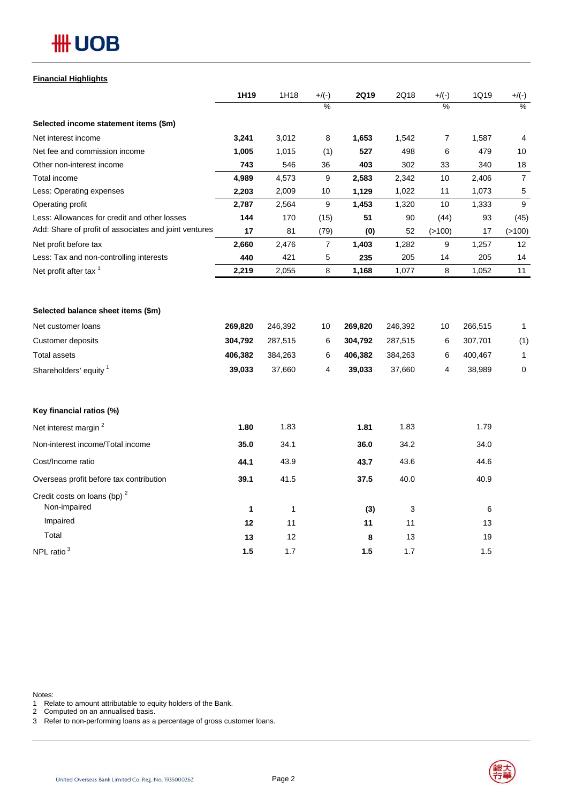## **#H UOB**

## **Financial Highlights**

| $\frac{0}{0}$<br>%<br>$\frac{1}{2}$<br>3,241<br>3,012<br>8<br>1,653<br>1,542<br>$\overline{7}$<br>1,587<br>$\overline{4}$<br>1,005<br>1,015<br>(1)<br>527<br>498<br>6<br>479<br>10<br>743<br>403<br>302<br>33<br>18<br>546<br>36<br>340<br>4,989<br>4,573<br>2,583<br>2,342<br>$\overline{7}$<br>9<br>10<br>2,406<br>2,203<br>2,009<br>1,129<br>1,022<br>1,073<br>5<br>10<br>11<br>9<br>2,787<br>2,564<br>9<br>1,453<br>1,320<br>10<br>1,333<br>170<br>51<br>90<br>93<br>144<br>(15)<br>(44)<br>(45)<br>17<br>81<br>(79)<br>52<br>(>100)<br>17<br>(>100)<br>(0)<br>2,660<br>$\overline{7}$<br>1,403<br>9<br>12<br>2,476<br>1,282<br>1,257<br>235<br>440<br>421<br>5<br>205<br>205<br>14<br>14<br>2,219<br>8<br>8<br>1,052<br>2,055<br>1,168<br>1,077<br>11<br>269,820<br>246,392<br>269,820<br>246,392<br>266,515<br>10<br>10<br>1<br>304,792<br>287,515<br>304,792<br>(1)<br>6<br>287,515<br>6<br>307,701<br>406,382<br>384,263<br>6<br>406,382<br>384,263<br>6<br>400,467<br>$\mathbf{1}$<br>39,033<br>39,033<br>$\mathbf 0$<br>37,660<br>4<br>37,660<br>4<br>38,989<br>1.80<br>1.83<br>1.81<br>1.83<br>1.79<br>35.0<br>34.1<br>36.0<br>34.2<br>34.0<br>43.9<br>44.6<br>44.1<br>43.6<br>43.7<br>39.1<br>41.5<br>37.5<br>40.0<br>40.9<br>Overseas profit before tax contribution<br>Non-impaired<br>1<br>$\mathbf{1}$<br>6<br>(3)<br>3<br>Impaired<br>12<br>11<br>11<br>11<br>13 |                                                       | 1H19 | 1H18 | $+/(-)$ | <b>2Q19</b> | 2Q18 | $+/(-)$ | 1Q19 | $+/(-)$ |
|-----------------------------------------------------------------------------------------------------------------------------------------------------------------------------------------------------------------------------------------------------------------------------------------------------------------------------------------------------------------------------------------------------------------------------------------------------------------------------------------------------------------------------------------------------------------------------------------------------------------------------------------------------------------------------------------------------------------------------------------------------------------------------------------------------------------------------------------------------------------------------------------------------------------------------------------------------------------------------------------------------------------------------------------------------------------------------------------------------------------------------------------------------------------------------------------------------------------------------------------------------------------------------------------------------------------------------------------------------------------------------------|-------------------------------------------------------|------|------|---------|-------------|------|---------|------|---------|
|                                                                                                                                                                                                                                                                                                                                                                                                                                                                                                                                                                                                                                                                                                                                                                                                                                                                                                                                                                                                                                                                                                                                                                                                                                                                                                                                                                                   |                                                       |      |      |         |             |      |         |      |         |
|                                                                                                                                                                                                                                                                                                                                                                                                                                                                                                                                                                                                                                                                                                                                                                                                                                                                                                                                                                                                                                                                                                                                                                                                                                                                                                                                                                                   | Selected income statement items (\$m)                 |      |      |         |             |      |         |      |         |
|                                                                                                                                                                                                                                                                                                                                                                                                                                                                                                                                                                                                                                                                                                                                                                                                                                                                                                                                                                                                                                                                                                                                                                                                                                                                                                                                                                                   | Net interest income                                   |      |      |         |             |      |         |      |         |
|                                                                                                                                                                                                                                                                                                                                                                                                                                                                                                                                                                                                                                                                                                                                                                                                                                                                                                                                                                                                                                                                                                                                                                                                                                                                                                                                                                                   | Net fee and commission income                         |      |      |         |             |      |         |      |         |
|                                                                                                                                                                                                                                                                                                                                                                                                                                                                                                                                                                                                                                                                                                                                                                                                                                                                                                                                                                                                                                                                                                                                                                                                                                                                                                                                                                                   | Other non-interest income                             |      |      |         |             |      |         |      |         |
|                                                                                                                                                                                                                                                                                                                                                                                                                                                                                                                                                                                                                                                                                                                                                                                                                                                                                                                                                                                                                                                                                                                                                                                                                                                                                                                                                                                   | Total income                                          |      |      |         |             |      |         |      |         |
|                                                                                                                                                                                                                                                                                                                                                                                                                                                                                                                                                                                                                                                                                                                                                                                                                                                                                                                                                                                                                                                                                                                                                                                                                                                                                                                                                                                   | Less: Operating expenses                              |      |      |         |             |      |         |      |         |
|                                                                                                                                                                                                                                                                                                                                                                                                                                                                                                                                                                                                                                                                                                                                                                                                                                                                                                                                                                                                                                                                                                                                                                                                                                                                                                                                                                                   | Operating profit                                      |      |      |         |             |      |         |      |         |
|                                                                                                                                                                                                                                                                                                                                                                                                                                                                                                                                                                                                                                                                                                                                                                                                                                                                                                                                                                                                                                                                                                                                                                                                                                                                                                                                                                                   | Less: Allowances for credit and other losses          |      |      |         |             |      |         |      |         |
|                                                                                                                                                                                                                                                                                                                                                                                                                                                                                                                                                                                                                                                                                                                                                                                                                                                                                                                                                                                                                                                                                                                                                                                                                                                                                                                                                                                   | Add: Share of profit of associates and joint ventures |      |      |         |             |      |         |      |         |
|                                                                                                                                                                                                                                                                                                                                                                                                                                                                                                                                                                                                                                                                                                                                                                                                                                                                                                                                                                                                                                                                                                                                                                                                                                                                                                                                                                                   | Net profit before tax                                 |      |      |         |             |      |         |      |         |
|                                                                                                                                                                                                                                                                                                                                                                                                                                                                                                                                                                                                                                                                                                                                                                                                                                                                                                                                                                                                                                                                                                                                                                                                                                                                                                                                                                                   | Less: Tax and non-controlling interests               |      |      |         |             |      |         |      |         |
|                                                                                                                                                                                                                                                                                                                                                                                                                                                                                                                                                                                                                                                                                                                                                                                                                                                                                                                                                                                                                                                                                                                                                                                                                                                                                                                                                                                   | Net profit after tax <sup>1</sup>                     |      |      |         |             |      |         |      |         |
|                                                                                                                                                                                                                                                                                                                                                                                                                                                                                                                                                                                                                                                                                                                                                                                                                                                                                                                                                                                                                                                                                                                                                                                                                                                                                                                                                                                   |                                                       |      |      |         |             |      |         |      |         |
|                                                                                                                                                                                                                                                                                                                                                                                                                                                                                                                                                                                                                                                                                                                                                                                                                                                                                                                                                                                                                                                                                                                                                                                                                                                                                                                                                                                   | Selected balance sheet items (\$m)                    |      |      |         |             |      |         |      |         |
|                                                                                                                                                                                                                                                                                                                                                                                                                                                                                                                                                                                                                                                                                                                                                                                                                                                                                                                                                                                                                                                                                                                                                                                                                                                                                                                                                                                   | Net customer loans                                    |      |      |         |             |      |         |      |         |
|                                                                                                                                                                                                                                                                                                                                                                                                                                                                                                                                                                                                                                                                                                                                                                                                                                                                                                                                                                                                                                                                                                                                                                                                                                                                                                                                                                                   | Customer deposits                                     |      |      |         |             |      |         |      |         |
|                                                                                                                                                                                                                                                                                                                                                                                                                                                                                                                                                                                                                                                                                                                                                                                                                                                                                                                                                                                                                                                                                                                                                                                                                                                                                                                                                                                   | <b>Total assets</b>                                   |      |      |         |             |      |         |      |         |
|                                                                                                                                                                                                                                                                                                                                                                                                                                                                                                                                                                                                                                                                                                                                                                                                                                                                                                                                                                                                                                                                                                                                                                                                                                                                                                                                                                                   | Shareholders' equity <sup>1</sup>                     |      |      |         |             |      |         |      |         |
|                                                                                                                                                                                                                                                                                                                                                                                                                                                                                                                                                                                                                                                                                                                                                                                                                                                                                                                                                                                                                                                                                                                                                                                                                                                                                                                                                                                   |                                                       |      |      |         |             |      |         |      |         |
|                                                                                                                                                                                                                                                                                                                                                                                                                                                                                                                                                                                                                                                                                                                                                                                                                                                                                                                                                                                                                                                                                                                                                                                                                                                                                                                                                                                   | Key financial ratios (%)                              |      |      |         |             |      |         |      |         |
|                                                                                                                                                                                                                                                                                                                                                                                                                                                                                                                                                                                                                                                                                                                                                                                                                                                                                                                                                                                                                                                                                                                                                                                                                                                                                                                                                                                   | Net interest margin <sup>2</sup>                      |      |      |         |             |      |         |      |         |
|                                                                                                                                                                                                                                                                                                                                                                                                                                                                                                                                                                                                                                                                                                                                                                                                                                                                                                                                                                                                                                                                                                                                                                                                                                                                                                                                                                                   | Non-interest income/Total income                      |      |      |         |             |      |         |      |         |
|                                                                                                                                                                                                                                                                                                                                                                                                                                                                                                                                                                                                                                                                                                                                                                                                                                                                                                                                                                                                                                                                                                                                                                                                                                                                                                                                                                                   | Cost/Income ratio                                     |      |      |         |             |      |         |      |         |
|                                                                                                                                                                                                                                                                                                                                                                                                                                                                                                                                                                                                                                                                                                                                                                                                                                                                                                                                                                                                                                                                                                                                                                                                                                                                                                                                                                                   |                                                       |      |      |         |             |      |         |      |         |
|                                                                                                                                                                                                                                                                                                                                                                                                                                                                                                                                                                                                                                                                                                                                                                                                                                                                                                                                                                                                                                                                                                                                                                                                                                                                                                                                                                                   | Credit costs on loans (bp) <sup>2</sup>               |      |      |         |             |      |         |      |         |
|                                                                                                                                                                                                                                                                                                                                                                                                                                                                                                                                                                                                                                                                                                                                                                                                                                                                                                                                                                                                                                                                                                                                                                                                                                                                                                                                                                                   |                                                       |      |      |         |             |      |         |      |         |
| Total<br>13<br>12<br>8<br>13<br>19                                                                                                                                                                                                                                                                                                                                                                                                                                                                                                                                                                                                                                                                                                                                                                                                                                                                                                                                                                                                                                                                                                                                                                                                                                                                                                                                                |                                                       |      |      |         |             |      |         |      |         |
| 1.5<br>1.5<br>1.7<br>1.5<br>1.7                                                                                                                                                                                                                                                                                                                                                                                                                                                                                                                                                                                                                                                                                                                                                                                                                                                                                                                                                                                                                                                                                                                                                                                                                                                                                                                                                   | NPL ratio <sup>3</sup>                                |      |      |         |             |      |         |      |         |

Notes:

1 Relate to amount attributable to equity holders of the Bank.

2 Computed on an annualised basis.

3 Refer to non-performing loans as a percentage of gross customer loans.

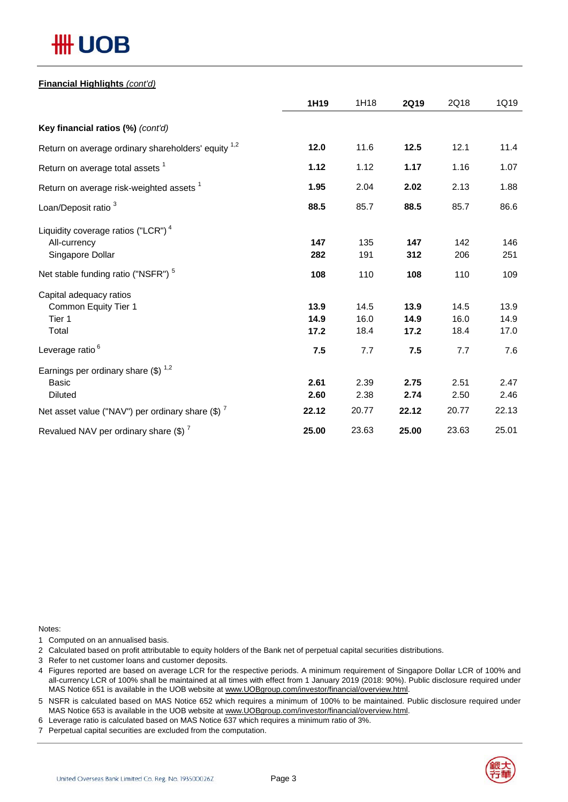# **## UOB**

### **Financial Highlights** *(cont'd)*

|                                                                | 1H19  | 1H18  | 2Q19  | 2Q18  | 1Q19  |
|----------------------------------------------------------------|-------|-------|-------|-------|-------|
| Key financial ratios (%) (cont'd)                              |       |       |       |       |       |
| Return on average ordinary shareholders' equity <sup>1,2</sup> | 12.0  | 11.6  | 12.5  | 12.1  | 11.4  |
| Return on average total assets <sup>1</sup>                    | 1.12  | 1.12  | 1.17  | 1.16  | 1.07  |
| Return on average risk-weighted assets <sup>1</sup>            | 1.95  | 2.04  | 2.02  | 2.13  | 1.88  |
| Loan/Deposit ratio <sup>3</sup>                                | 88.5  | 85.7  | 88.5  | 85.7  | 86.6  |
| Liquidity coverage ratios ("LCR") <sup>4</sup>                 |       |       |       |       |       |
| All-currency                                                   | 147   | 135   | 147   | 142   | 146   |
| Singapore Dollar                                               | 282   | 191   | 312   | 206   | 251   |
| Net stable funding ratio ("NSFR") <sup>5</sup>                 | 108   | 110   | 108   | 110   | 109   |
| Capital adequacy ratios                                        |       |       |       |       |       |
| Common Equity Tier 1                                           | 13.9  | 14.5  | 13.9  | 14.5  | 13.9  |
| Tier 1                                                         | 14.9  | 16.0  | 14.9  | 16.0  | 14.9  |
| Total                                                          | 17.2  | 18.4  | 17.2  | 18.4  | 17.0  |
| Leverage ratio <sup>6</sup>                                    | 7.5   | 7.7   | 7.5   | 7.7   | 7.6   |
| Earnings per ordinary share $(\$)^{1,2}$                       |       |       |       |       |       |
| <b>Basic</b>                                                   | 2.61  | 2.39  | 2.75  | 2.51  | 2.47  |
| <b>Diluted</b>                                                 | 2.60  | 2.38  | 2.74  | 2.50  | 2.46  |
| Net asset value ("NAV") per ordinary share $(\$)$ <sup>7</sup> | 22.12 | 20.77 | 22.12 | 20.77 | 22.13 |
| Revalued NAV per ordinary share $(\$)^7$                       | 25.00 | 23.63 | 25.00 | 23.63 | 25.01 |

Notes:

1 Computed on an annualised basis.

2 Calculated based on profit attributable to equity holders of the Bank net of perpetual capital securities distributions.

- 3 Refer to net customer loans and customer deposits.
- 4 Figures reported are based on average LCR for the respective periods. A minimum requirement of Singapore Dollar LCR of 100% and all-currency LCR of 100% shall be maintained at all times with effect from 1 January 2019 (2018: 90%). Public disclosure required under MAS Notice 651 is available in the UOB website at www.UOBgroup.com/investor/financial/overview.html.

5 NSFR is calculated based on MAS Notice 652 which requires a minimum of 100% to be maintained. Public disclosure required under MAS Notice 653 is available in the UOB website at www.UOBgroup.com/investor/financial/overview.html.

6 Leverage ratio is calculated based on MAS Notice 637 which requires a minimum ratio of 3%.

7 Perpetual capital securities are excluded from the computation.

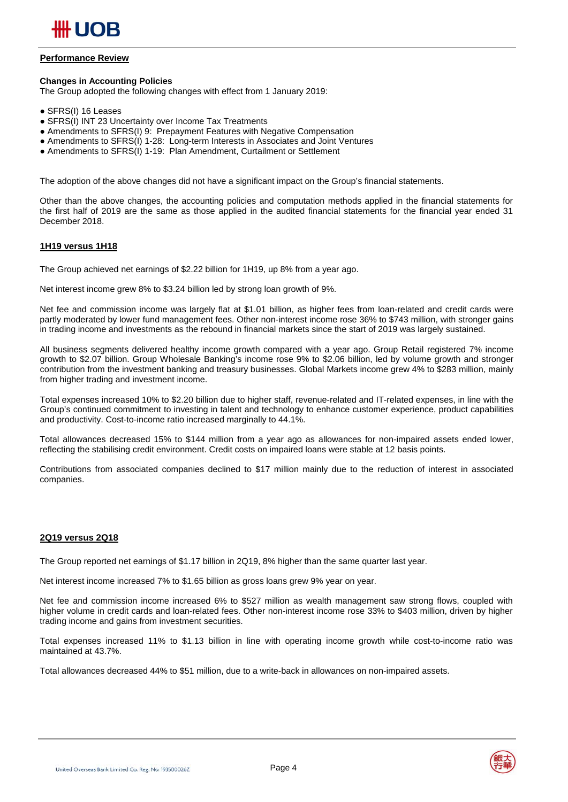

#### **Performance Review**

#### **Changes in Accounting Policies**

The Group adopted the following changes with effect from 1 January 2019:

- SFRS(I) 16 Leases
- SFRS(I) INT 23 Uncertainty over Income Tax Treatments
- Amendments to SFRS(I) 9: Prepayment Features with Negative Compensation
- Amendments to SFRS(I) 1-28: Long-term Interests in Associates and Joint Ventures
- Amendments to SFRS(I) 1-19: Plan Amendment, Curtailment or Settlement

The adoption of the above changes did not have a significant impact on the Group's financial statements.

Other than the above changes, the accounting policies and computation methods applied in the financial statements for the first half of 2019 are the same as those applied in the audited financial statements for the financial year ended 31 December 2018.

#### **1H19 versus 1H18**

The Group achieved net earnings of \$2.22 billion for 1H19, up 8% from a year ago.

Net interest income grew 8% to \$3.24 billion led by strong loan growth of 9%.

Net fee and commission income was largely flat at \$1.01 billion, as higher fees from loan-related and credit cards were partly moderated by lower fund management fees. Other non-interest income rose 36% to \$743 million, with stronger gains in trading income and investments as the rebound in financial markets since the start of 2019 was largely sustained.

All business segments delivered healthy income growth compared with a year ago. Group Retail registered 7% income growth to \$2.07 billion. Group Wholesale Banking's income rose 9% to \$2.06 billion, led by volume growth and stronger contribution from the investment banking and treasury businesses. Global Markets income grew 4% to \$283 million, mainly from higher trading and investment income.

Total expenses increased 10% to \$2.20 billion due to higher staff, revenue-related and IT-related expenses, in line with the Group's continued commitment to investing in talent and technology to enhance customer experience, product capabilities and productivity. Cost-to-income ratio increased marginally to 44.1%.

Total allowances decreased 15% to \$144 million from a year ago as allowances for non-impaired assets ended lower, reflecting the stabilising credit environment. Credit costs on impaired loans were stable at 12 basis points.

Contributions from associated companies declined to \$17 million mainly due to the reduction of interest in associated companies.

#### **2Q19 versus 2Q18**

The Group reported net earnings of \$1.17 billion in 2Q19, 8% higher than the same quarter last year.

Net interest income increased 7% to \$1.65 billion as gross loans grew 9% year on year.

Net fee and commission income increased 6% to \$527 million as wealth management saw strong flows, coupled with higher volume in credit cards and loan-related fees. Other non-interest income rose 33% to \$403 million, driven by higher trading income and gains from investment securities.

Total expenses increased 11% to \$1.13 billion in line with operating income growth while cost-to-income ratio was maintained at 43.7%.

Total allowances decreased 44% to \$51 million, due to a write-back in allowances on non-impaired assets.

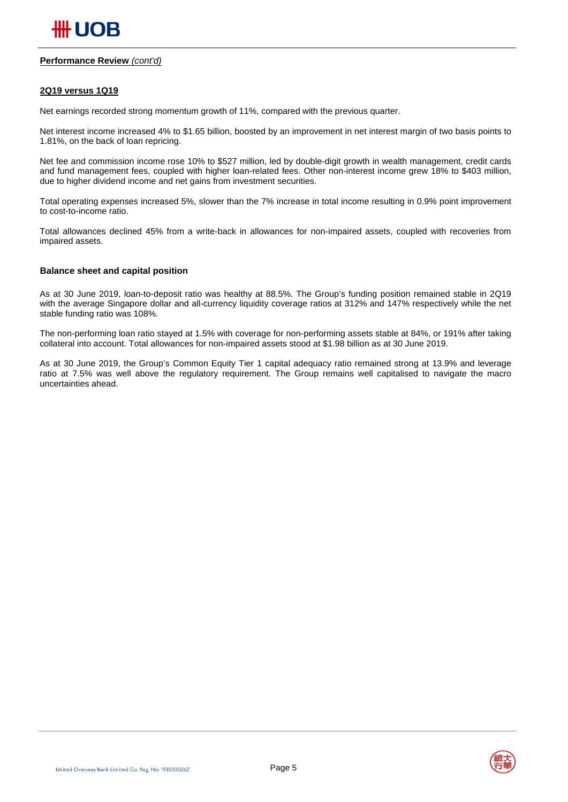#### **Performance Review** *(cont'd)*

#### **2Q19 versus 1Q19**

Net earnings recorded strong momentum growth of 11%, compared with the previous quarter.

Net interest income increased 4% to \$1.65 billion, boosted by an improvement in net interest margin of two basis points to 1.81%, on the back of loan repricing.

Net fee and commission income rose 10% to \$527 million, led by double-digit growth in wealth management, credit cards and fund management fees, coupled with higher loan-related fees. Other non-interest income grew 18% to \$403 million, due to higher dividend income and net gains from investment securities.

Total operating expenses increased 5%, slower than the 7% increase in total income resulting in 0.9% point improvement to cost-to-income ratio.

Total allowances declined 45% from a write-back in allowances for non-impaired assets, coupled with recoveries from impaired assets.

#### **Balance sheet and capital position**

As at 30 June 2019, loan-to-deposit ratio was healthy at 88.5%. The Group's funding position remained stable in 2Q19 with the average Singapore dollar and all-currency liquidity coverage ratios at 312% and 147% respectively while the net stable funding ratio was 108%.

The non-performing loan ratio stayed at 1.5% with coverage for non-performing assets stable at 84%, or 191% after taking collateral into account. Total allowances for non-impaired assets stood at \$1.98 billion as at 30 June 2019.

As at 30 June 2019, the Group's Common Equity Tier 1 capital adequacy ratio remained strong at 13.9% and leverage ratio at 7.5% was well above the regulatory requirement. The Group remains well capitalised to navigate the macro uncertainties ahead.

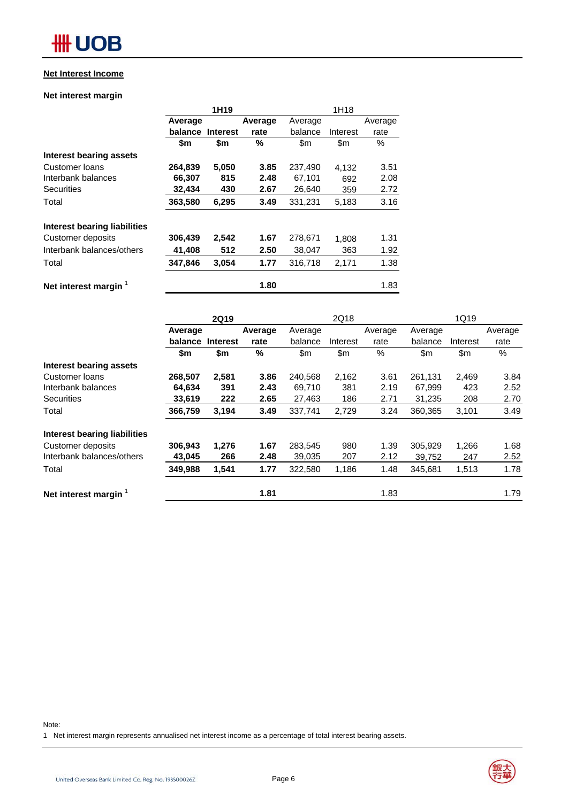### **Net Interest Income**

#### **Net interest margin**

|                                     |         | 1H <sub>19</sub> |         |         |          |         |
|-------------------------------------|---------|------------------|---------|---------|----------|---------|
|                                     | Average |                  | Average | Average |          | Average |
|                                     | balance | <b>Interest</b>  | rate    | balance | Interest | rate    |
|                                     | \$m     | \$m              | %       | \$m     | \$m      | $\%$    |
| Interest bearing assets             |         |                  |         |         |          |         |
| Customer loans                      | 264,839 | 5,050            | 3.85    | 237,490 | 4,132    | 3.51    |
| Interbank balances                  | 66,307  | 815              | 2.48    | 67,101  | 692      | 2.08    |
| <b>Securities</b>                   | 32,434  | 430              | 2.67    | 26,640  | 359      | 2.72    |
| Total                               | 363,580 | 6,295            | 3.49    | 331,231 | 5,183    | 3.16    |
| <b>Interest bearing liabilities</b> |         |                  |         |         |          |         |
| Customer deposits                   | 306,439 | 2,542            | 1.67    | 278,671 | 1,808    | 1.31    |
| Interbank balances/others           | 41,408  | 512              | 2.50    | 38,047  | 363      | 1.92    |
| Total                               | 347,846 | 3,054            | 1.77    | 316.718 | 2,171    | 1.38    |
| Net interest margin                 |         |                  | 1.80    |         |          | 1.83    |

|                                  |         | <b>2Q19</b>     |         |         | 2Q18     |         |         | 1Q19     |         |
|----------------------------------|---------|-----------------|---------|---------|----------|---------|---------|----------|---------|
|                                  | Average |                 | Average | Average |          | Average | Average |          | Average |
|                                  | balance | <b>Interest</b> | rate    | balance | Interest | rate    | balance | Interest | rate    |
|                                  | \$m     | \$m             | %       | \$m\$   | \$m\$    | %       | \$m     | \$m      | %       |
| Interest bearing assets          |         |                 |         |         |          |         |         |          |         |
| Customer loans                   | 268,507 | 2,581           | 3.86    | 240,568 | 2,162    | 3.61    | 261,131 | 2,469    | 3.84    |
| Interbank balances               | 64,634  | 391             | 2.43    | 69.710  | 381      | 2.19    | 67,999  | 423      | 2.52    |
| <b>Securities</b>                | 33,619  | 222             | 2.65    | 27,463  | 186      | 2.71    | 31,235  | 208      | 2.70    |
| Total                            | 366,759 | 3,194           | 3.49    | 337,741 | 2,729    | 3.24    | 360,365 | 3,101    | 3.49    |
| Interest bearing liabilities     |         |                 |         |         |          |         |         |          |         |
| Customer deposits                | 306,943 | 1,276           | 1.67    | 283,545 | 980      | 1.39    | 305,929 | 1,266    | 1.68    |
| Interbank balances/others        | 43,045  | 266             | 2.48    | 39,035  | 207      | 2.12    | 39,752  | 247      | 2.52    |
| Total                            | 349,988 | 1,541           | 1.77    | 322,580 | 1,186    | 1.48    | 345,681 | 1,513    | 1.78    |
| Net interest margin <sup>1</sup> |         |                 | 1.81    |         |          | 1.83    |         |          | 1.79    |

Note:

1 Net interest margin represents annualised net interest income as a percentage of total interest bearing assets.

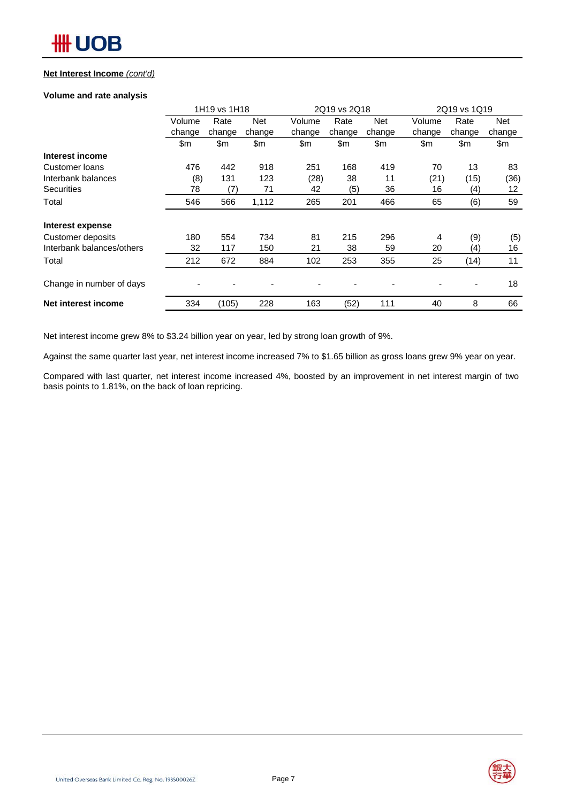#### **Net Interest Income** *(cont'd)*

#### **Volume and rate analysis**

|                           |        | 1H19 vs 1H18 |            |        | 2Q19 vs 2Q18 |            |        | 2Q19 vs 1Q19 |        |
|---------------------------|--------|--------------|------------|--------|--------------|------------|--------|--------------|--------|
|                           | Volume | Rate         | <b>Net</b> | Volume | Rate         | <b>Net</b> | Volume | Rate         | Net    |
|                           | change | change       | change     | change | change       | change     | change | change       | change |
|                           | \$m    | \$m          | \$m        | \$m\$  | \$m          | \$m        | \$m    | \$m          | \$m    |
| Interest income           |        |              |            |        |              |            |        |              |        |
| Customer loans            | 476    | 442          | 918        | 251    | 168          | 419        | 70     | 13           | 83     |
| Interbank balances        | (8)    | 131          | 123        | (28)   | 38           | 11         | (21)   | (15)         | (36)   |
| <b>Securities</b>         | 78     | (7)          | 71         | 42     | (5)          | 36         | 16     | (4)          | 12     |
| Total                     | 546    | 566          | 1,112      | 265    | 201          | 466        | 65     | (6)          | 59     |
| Interest expense          |        |              |            |        |              |            |        |              |        |
| Customer deposits         | 180    | 554          | 734        | 81     | 215          | 296        | 4      | (9)          | (5)    |
| Interbank balances/others | 32     | 117          | 150        | 21     | 38           | 59         | 20     | (4)          | 16     |
| Total                     | 212    | 672          | 884        | 102    | 253          | 355        | 25     | (14)         | 11     |
| Change in number of days  |        |              |            |        |              |            |        | -            | 18     |
| Net interest income       | 334    | (105)        | 228        | 163    | (52)         | 111        | 40     | 8            | 66     |

Net interest income grew 8% to \$3.24 billion year on year, led by strong loan growth of 9%.

Against the same quarter last year, net interest income increased 7% to \$1.65 billion as gross loans grew 9% year on year.

Compared with last quarter, net interest income increased 4%, boosted by an improvement in net interest margin of two basis points to 1.81%, on the back of loan repricing.

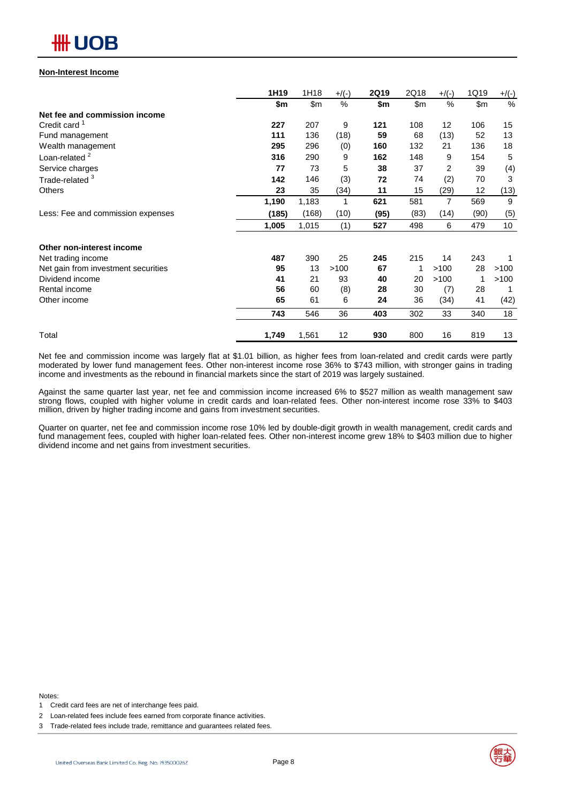## **\HH UOB**

#### **Non-Interest Income**

|                                     | 1H19  | 1H18  | $+$ /(-) | <b>2Q19</b> | 2Q18 | $+$ /(-) | 1Q19          | $+/(-)$ |
|-------------------------------------|-------|-------|----------|-------------|------|----------|---------------|---------|
|                                     | \$m   | \$m   | %        | \$m         | \$m  | %        | $\mathsf{Sm}$ | $\%$    |
| Net fee and commission income       |       |       |          |             |      |          |               |         |
| Credit card <sup>1</sup>            | 227   | 207   | 9        | 121         | 108  | 12       | 106           | 15      |
| Fund management                     | 111   | 136   | (18)     | 59          | 68   | (13)     | 52            | 13      |
| Wealth management                   | 295   | 296   | (0)      | 160         | 132  | 21       | 136           | 18      |
| Loan-related <sup>2</sup>           | 316   | 290   | 9        | 162         | 148  | 9        | 154           | 5       |
| Service charges                     | 77    | 73    | 5        | 38          | 37   | 2        | 39            | (4)     |
| Trade-related <sup>3</sup>          | 142   | 146   | (3)      | 72          | 74   | (2)      | 70            | 3       |
| <b>Others</b>                       | 23    | 35    | (34)     | 11          | 15   | (29)     | 12            | (13)    |
|                                     | 1,190 | 1,183 | 1        | 621         | 581  | 7        | 569           | 9       |
| Less: Fee and commission expenses   | (185) | (168) | (10)     | (95)        | (83) | (14)     | (90)          | (5)     |
|                                     | 1,005 | 1,015 | (1)      | 527         | 498  | 6        | 479           | 10      |
| Other non-interest income           |       |       |          |             |      |          |               |         |
| Net trading income                  | 487   | 390   | 25       | 245         | 215  | 14       | 243           |         |
| Net gain from investment securities | 95    | 13    | >100     | 67          | 1    | >100     | 28            | >100    |
| Dividend income                     | 41    | 21    | 93       | 40          | 20   | >100     | 1             | >100    |
| Rental income                       | 56    | 60    | (8)      | 28          | 30   | (7)      | 28            |         |
| Other income                        | 65    | 61    | 6        | 24          | 36   | (34)     | 41            | (42)    |
|                                     | 743   | 546   | 36       | 403         | 302  | 33       | 340           | 18      |
| Total                               | 1,749 | 1,561 | 12       | 930         | 800  | 16       | 819           | 13      |

Net fee and commission income was largely flat at \$1.01 billion, as higher fees from loan-related and credit cards were partly moderated by lower fund management fees. Other non-interest income rose 36% to \$743 million, with stronger gains in trading income and investments as the rebound in financial markets since the start of 2019 was largely sustained.

Against the same quarter last year, net fee and commission income increased 6% to \$527 million as wealth management saw strong flows, coupled with higher volume in credit cards and loan-related fees. Other non-interest income rose 33% to \$403 million, driven by higher trading income and gains from investment securities.

Quarter on quarter, net fee and commission income rose 10% led by double-digit growth in wealth management, credit cards and fund management fees, coupled with higher loan-related fees. Other non-interest income grew 18% to \$403 million due to higher dividend income and net gains from investment securities.

Notes:





<sup>1</sup> Credit card fees are net of interchange fees paid.

<sup>2</sup> Loan-related fees include fees earned from corporate finance activities.

<sup>3</sup> Trade-related fees include trade, remittance and guarantees related fees.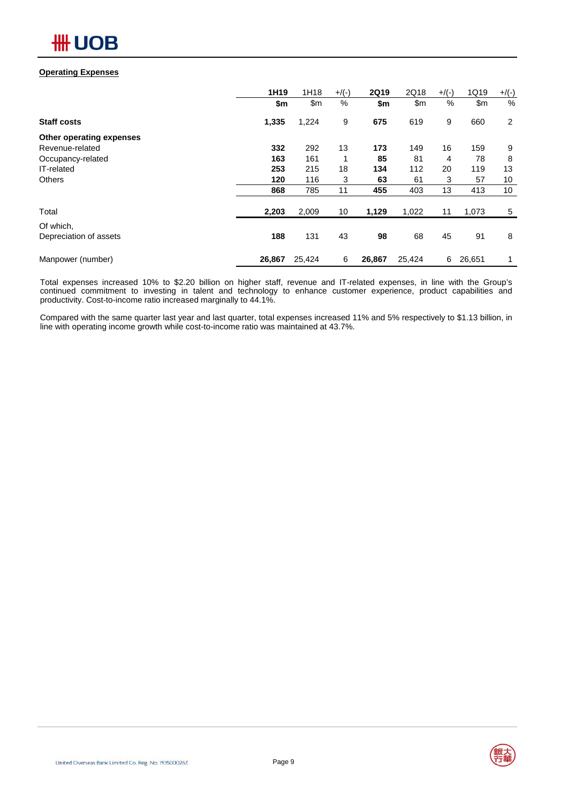## **Operating Expenses**

|                          | 1H19   | 1H18   | $+$ /(-) | <b>2Q19</b> | 2Q18   | $+$ /(-) | 1Q19           | $+/(-)$        |
|--------------------------|--------|--------|----------|-------------|--------|----------|----------------|----------------|
|                          | \$m    | \$m\$  | %        | \$m         | \$m\$  | $\%$     | $\mathsf{S}$ m | %              |
| <b>Staff costs</b>       | 1,335  | 1,224  | 9        | 675         | 619    | 9        | 660            | $\overline{2}$ |
| Other operating expenses |        |        |          |             |        |          |                |                |
| Revenue-related          | 332    | 292    | 13       | 173         | 149    | 16       | 159            | 9              |
| Occupancy-related        | 163    | 161    |          | 85          | 81     | 4        | 78             | 8              |
| IT-related               | 253    | 215    | 18       | 134         | 112    | 20       | 119            | 13             |
| <b>Others</b>            | 120    | 116    | 3        | 63          | 61     | 3        | 57             | 10             |
|                          | 868    | 785    | 11       | 455         | 403    | 13       | 413            | 10             |
| Total                    | 2,203  | 2,009  | 10       | 1,129       | 1,022  | 11       | 1,073          | 5              |
| Of which,                |        |        |          |             |        |          |                |                |
| Depreciation of assets   | 188    | 131    | 43       | 98          | 68     | 45       | 91             | 8              |
| Manpower (number)        | 26,867 | 25,424 | 6        | 26,867      | 25,424 | 6        | 26,651         | 1              |

Total expenses increased 10% to \$2.20 billion on higher staff, revenue and IT-related expenses, in line with the Group's continued commitment to investing in talent and technology to enhance customer experience, product capabilities and productivity. Cost-to-income ratio increased marginally to 44.1%.

Compared with the same quarter last year and last quarter, total expenses increased 11% and 5% respectively to \$1.13 billion, in line with operating income growth while cost-to-income ratio was maintained at 43.7%.

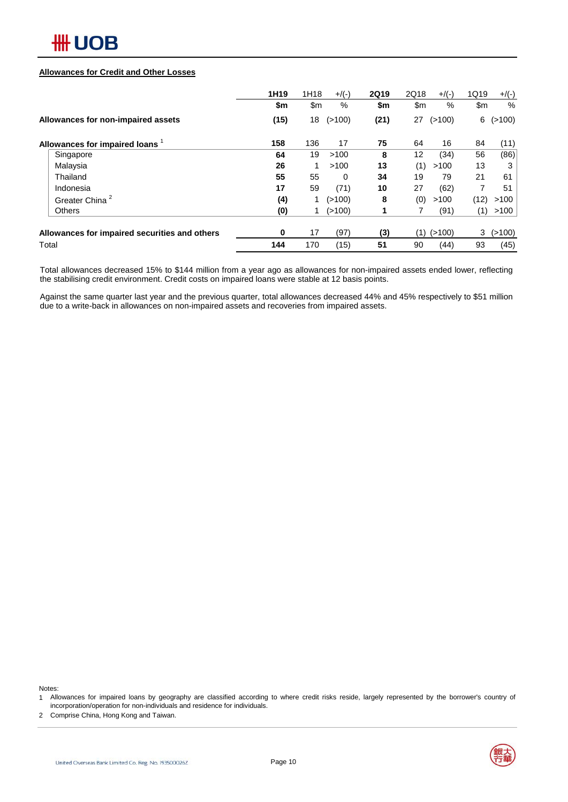

#### **Allowances for Credit and Other Losses**

|                                               | 1H <sub>19</sub> | 1H18 | $+/(-)$  | <b>2Q19</b> | 2Q18          | $+$ /(-) | 1Q19          | $+/(-)$        |
|-----------------------------------------------|------------------|------|----------|-------------|---------------|----------|---------------|----------------|
|                                               | \$m              | \$m  | %        | \$m         | $\mathsf{Sm}$ | %        | $\mathsf{Sm}$ | $\%$           |
| Allowances for non-impaired assets            | (15)             | 18   | (>100)   | (21)        | 27            | (>100)   |               | $6$ ( $>100$ ) |
| Allowances for impaired loans                 | 158              | 136  | 17       | 75          | 64            | 16       | 84            | (11)           |
| Singapore                                     | 64               | 19   | >100     | 8           | 12            | (34)     | 56            | (86)           |
| Malaysia                                      | 26               |      | >100     | 13          | (1)           | >100     | 13            | 3              |
| Thailand                                      | 55               | 55   | $\Omega$ | 34          | 19            | 79       | 21            | 61             |
| Indonesia                                     | 17               | 59   | (71)     | 10          | 27            | (62)     | 7             | 51             |
| Greater China <sup>2</sup>                    | (4)              |      | (>100)   | 8           | (0)           | >100     | (12)          | >100           |
| <b>Others</b>                                 | (0)              |      | (>100)   |             |               | (91)     | (1)           | >100           |
| Allowances for impaired securities and others | 0                | 17   | (97)     | (3)         | (1)           | (>100)   | 3             | (>100)         |
| Total                                         | 144              | 170  | (15)     | 51          | 90            | (44)     | 93            | (45)           |

Total allowances decreased 15% to \$144 million from a year ago as allowances for non-impaired assets ended lower, reflecting the stabilising credit environment. Credit costs on impaired loans were stable at 12 basis points.

Against the same quarter last year and the previous quarter, total allowances decreased 44% and 45% respectively to \$51 million due to a write-back in allowances on non-impaired assets and recoveries from impaired assets.

Notes:

1 Allowances for impaired loans by geography are classified according to where credit risks reside, largely represented by the borrower's country of incorporation/operation for non-individuals and residence for individuals.

2 Comprise China, Hong Kong and Taiwan.



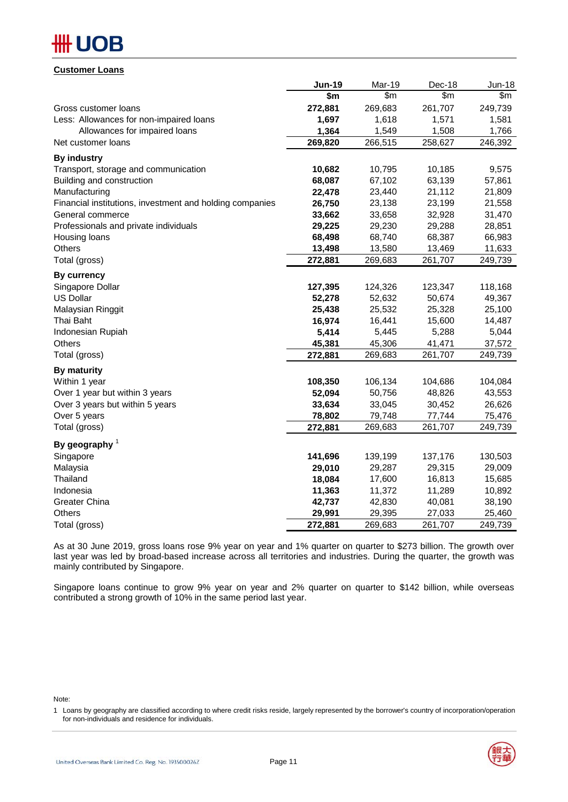## **#HUOB**

## **Customer Loans**

|                                                          | <b>Jun-19</b> | Mar-19  | Dec-18  | Jun-18  |
|----------------------------------------------------------|---------------|---------|---------|---------|
|                                                          | \$m           | \$m\$   | \$m\$   | \$m\$   |
| Gross customer loans                                     | 272,881       | 269,683 | 261,707 | 249,739 |
| Less: Allowances for non-impaired loans                  | 1,697         | 1,618   | 1,571   | 1,581   |
| Allowances for impaired loans                            | 1,364         | 1,549   | 1,508   | 1,766   |
| Net customer loans                                       | 269,820       | 266,515 | 258,627 | 246,392 |
| <b>By industry</b>                                       |               |         |         |         |
| Transport, storage and communication                     | 10,682        | 10,795  | 10,185  | 9,575   |
| Building and construction                                | 68,087        | 67,102  | 63,139  | 57,861  |
| Manufacturing                                            | 22,478        | 23,440  | 21,112  | 21,809  |
| Financial institutions, investment and holding companies | 26,750        | 23,138  | 23,199  | 21,558  |
| General commerce                                         | 33,662        | 33,658  | 32,928  | 31,470  |
| Professionals and private individuals                    | 29,225        | 29,230  | 29,288  | 28,851  |
| Housing loans                                            | 68,498        | 68,740  | 68,387  | 66,983  |
| Others                                                   | 13,498        | 13,580  | 13,469  | 11,633  |
| Total (gross)                                            | 272,881       | 269,683 | 261,707 | 249,739 |
| <b>By currency</b>                                       |               |         |         |         |
| Singapore Dollar                                         | 127,395       | 124,326 | 123,347 | 118,168 |
| <b>US Dollar</b>                                         | 52,278        | 52,632  | 50,674  | 49,367  |
| Malaysian Ringgit                                        | 25,438        | 25,532  | 25,328  | 25,100  |
| Thai Baht                                                | 16,974        | 16,441  | 15,600  | 14,487  |
| Indonesian Rupiah                                        | 5,414         | 5,445   | 5,288   | 5,044   |
| Others                                                   | 45,381        | 45,306  | 41,471  | 37,572  |
| Total (gross)                                            | 272,881       | 269,683 | 261,707 | 249,739 |
| By maturity                                              |               |         |         |         |
| Within 1 year                                            | 108,350       | 106,134 | 104,686 | 104,084 |
| Over 1 year but within 3 years                           | 52,094        | 50,756  | 48,826  | 43,553  |
| Over 3 years but within 5 years                          | 33,634        | 33,045  | 30,452  | 26,626  |
| Over 5 years                                             | 78,802        | 79,748  | 77,744  | 75,476  |
| Total (gross)                                            | 272,881       | 269,683 | 261,707 | 249,739 |
| By geography $1$                                         |               |         |         |         |
| Singapore                                                | 141,696       | 139,199 | 137,176 | 130,503 |
| Malaysia                                                 | 29,010        | 29,287  | 29,315  | 29,009  |
| Thailand                                                 | 18,084        | 17,600  | 16,813  | 15,685  |
| Indonesia                                                | 11,363        | 11,372  | 11,289  | 10,892  |
| <b>Greater China</b>                                     | 42,737        | 42,830  | 40,081  | 38,190  |
| Others                                                   | 29,991        | 29,395  | 27,033  | 25,460  |
| Total (gross)                                            | 272,881       | 269,683 | 261,707 | 249,739 |

As at 30 June 2019, gross loans rose 9% year on year and 1% quarter on quarter to \$273 billion. The growth over last year was led by broad-based increase across all territories and industries. During the quarter, the growth was mainly contributed by Singapore.

Singapore loans continue to grow 9% year on year and 2% quarter on quarter to \$142 billion, while overseas contributed a strong growth of 10% in the same period last year.

Note:

<sup>1</sup> Loans by geography are classified according to where credit risks reside, largely represented by the borrower's country of incorporation/operation for non-individuals and residence for individuals.

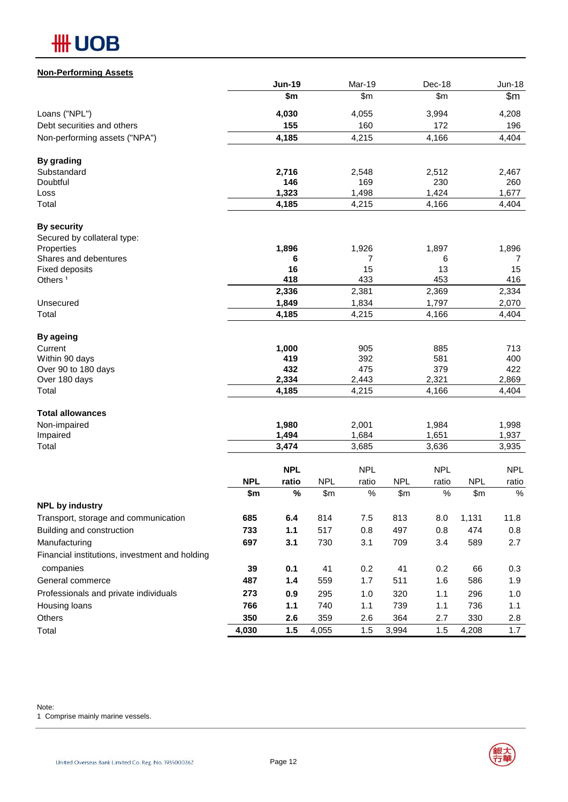## **HH UOB**

| <b>Non-Performing Assets</b>                   |            |               |            |            |            |            |            |               |
|------------------------------------------------|------------|---------------|------------|------------|------------|------------|------------|---------------|
|                                                |            | <b>Jun-19</b> |            | Mar-19     |            | Dec-18     |            | <b>Jun-18</b> |
|                                                |            | \$m           |            | \$m\$      |            | \$m\$      |            | \$m           |
| Loans ("NPL")                                  |            | 4,030         |            | 4,055      |            | 3,994      |            | 4,208         |
| Debt securities and others                     |            | 155           |            | 160        |            | 172        |            | 196           |
| Non-performing assets ("NPA")                  |            | 4,185         |            | 4,215      |            | 4,166      |            | 4,404         |
| <b>By grading</b>                              |            |               |            |            |            |            |            |               |
| Substandard                                    |            | 2,716         |            | 2,548      |            | 2,512      |            | 2,467         |
| Doubtful                                       |            | 146           |            | 169        |            | 230        |            | 260           |
| Loss                                           |            | 1,323         |            | 1,498      |            | 1,424      |            | 1,677         |
| Total                                          |            | 4,185         |            | 4,215      |            | 4,166      |            | 4,404         |
| <b>By security</b>                             |            |               |            |            |            |            |            |               |
| Secured by collateral type:                    |            |               |            |            |            |            |            |               |
| Properties                                     |            | 1,896         |            | 1,926      |            | 1,897      |            | 1,896         |
| Shares and debentures<br><b>Fixed deposits</b> |            | 6<br>16       |            | 7<br>15    |            | 6<br>13    |            | 7<br>15       |
| Others <sup>1</sup>                            |            | 418           |            | 433        |            | 453        |            | 416           |
|                                                |            | 2,336         |            | 2,381      |            | 2,369      |            | 2,334         |
| Unsecured                                      |            | 1,849         |            | 1,834      |            | 1,797      |            | 2,070         |
| Total                                          |            | 4,185         |            | 4,215      |            | 4,166      |            | 4,404         |
| <b>By ageing</b>                               |            |               |            |            |            |            |            |               |
| Current                                        |            | 1,000         |            | 905        |            | 885        |            | 713           |
| Within 90 days                                 |            | 419           |            | 392        |            | 581        |            | 400           |
| Over 90 to 180 days                            |            | 432           |            | 475        |            | 379        |            | 422           |
| Over 180 days                                  |            | 2,334         |            | 2,443      |            | 2,321      |            | 2,869         |
| Total                                          |            | 4,185         |            | 4,215      |            | 4,166      |            | 4,404         |
| <b>Total allowances</b>                        |            |               |            |            |            |            |            |               |
| Non-impaired                                   |            | 1,980         |            | 2,001      |            | 1,984      |            | 1,998         |
| Impaired                                       |            | 1,494         |            | 1,684      |            | 1,651      |            | 1,937         |
| Total                                          |            | 3,474         |            | 3,685      |            | 3,636      |            | 3,935         |
|                                                |            | <b>NPL</b>    |            | <b>NPL</b> |            | <b>NPL</b> |            | <b>NPL</b>    |
|                                                | <b>NPL</b> | ratio         | <b>NPL</b> | ratio      | <b>NPL</b> | ratio      | <b>NPL</b> | ratio         |
| <b>NPL by industry</b>                         | \$m        | $\%$          | \$m\$      | $\%$       | \$m        | $\%$       | \$m        | $\%$          |
| Transport, storage and communication           | 685        | 6.4           | 814        | 7.5        | 813        | 8.0        | 1,131      | 11.8          |
| Building and construction                      | 733        | 1.1           | 517        | 0.8        | 497        | 0.8        | 474        | 0.8           |
| Manufacturing                                  | 697        | 3.1           | 730        | 3.1        | 709        | 3.4        | 589        | 2.7           |
| Financial institutions, investment and holding |            |               |            |            |            |            |            |               |
| companies                                      | 39         | 0.1           | 41         | 0.2        | 41         | 0.2        | 66         | 0.3           |
| General commerce                               | 487        |               | 559        | 1.7        | 511        | 1.6        | 586        | 1.9           |
|                                                |            | 1.4           |            |            |            |            |            |               |
| Professionals and private individuals          | 273        | 0.9           | 295        | 1.0        | 320        | 1.1        | 296        | 1.0           |
| Housing loans                                  | 766        | 1.1           | 740        | 1.1        | 739        | 1.1        | 736        | 1.1           |
| Others                                         | 350        | 2.6           | 359        | 2.6        | 364        | 2.7        | 330        | 2.8           |
| Total                                          | 4,030      | 1.5           | 4,055      | 1.5        | 3,994      | 1.5        | 4,208      | 1.7           |

Note:

1 Comprise mainly marine vessels.

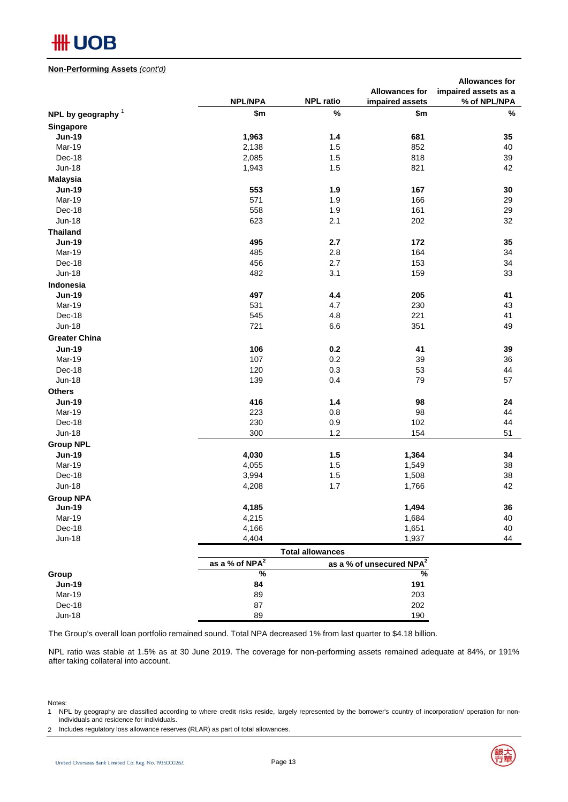## **#H UOB**

#### **Non-Performing Assets** *(cont'd)*

|                      |                            |                         |                                      | <b>Allowances for</b> |
|----------------------|----------------------------|-------------------------|--------------------------------------|-----------------------|
|                      |                            |                         | <b>Allowances for</b>                | impaired assets as a  |
|                      | <b>NPL/NPA</b>             | <b>NPL ratio</b>        | impaired assets                      | % of NPL/NPA          |
| NPL by geography $1$ | \$m                        | %                       | \$m                                  | $\%$                  |
| Singapore            |                            |                         |                                      |                       |
| <b>Jun-19</b>        | 1,963                      | 1.4                     | 681                                  | 35                    |
| Mar-19               | 2,138                      | 1.5                     | 852                                  | 40                    |
| Dec-18               | 2,085                      | 1.5                     | 818                                  | 39                    |
| <b>Jun-18</b>        | 1,943                      | 1.5                     | 821                                  | 42                    |
| <b>Malaysia</b>      |                            |                         |                                      |                       |
| <b>Jun-19</b>        | 553                        | 1.9                     | 167                                  | 30                    |
| Mar-19               | 571                        | 1.9                     | 166                                  | 29                    |
| Dec-18               | 558                        | 1.9                     | 161                                  | 29                    |
| <b>Jun-18</b>        | 623                        | 2.1                     | 202                                  | 32                    |
| <b>Thailand</b>      |                            |                         |                                      |                       |
| <b>Jun-19</b>        | 495                        | 2.7                     | 172                                  | 35                    |
| Mar-19               | 485                        | 2.8                     | 164                                  | 34                    |
| Dec-18               | 456                        | 2.7                     | 153                                  | 34                    |
| <b>Jun-18</b>        | 482                        | 3.1                     | 159                                  | 33                    |
| Indonesia            |                            |                         |                                      |                       |
| <b>Jun-19</b>        | 497                        | 4.4                     | 205                                  | 41                    |
| Mar-19               | 531                        | 4.7                     | 230                                  | 43                    |
| Dec-18               | 545                        | 4.8                     | 221                                  | 41                    |
| <b>Jun-18</b>        | 721                        | 6.6                     | 351                                  | 49                    |
|                      |                            |                         |                                      |                       |
| <b>Greater China</b> |                            |                         |                                      |                       |
| <b>Jun-19</b>        | 106                        | 0.2                     | 41                                   | 39                    |
| Mar-19               | 107                        | 0.2                     | 39                                   | 36                    |
| Dec-18               | 120                        | 0.3                     | 53                                   | 44                    |
| <b>Jun-18</b>        | 139                        | 0.4                     | 79                                   | 57                    |
| <b>Others</b>        |                            |                         |                                      |                       |
| <b>Jun-19</b>        | 416                        | 1.4                     | 98                                   | 24                    |
| Mar-19               | 223                        | 0.8                     | 98                                   | 44                    |
| Dec-18               | 230                        | 0.9                     | 102                                  | 44                    |
| <b>Jun-18</b>        | 300                        | 1.2                     | 154                                  | 51                    |
| <b>Group NPL</b>     |                            |                         |                                      |                       |
| <b>Jun-19</b>        | 4,030                      | 1.5                     | 1,364                                | 34                    |
| Mar-19               | 4,055                      | 1.5                     | 1,549                                | 38                    |
| Dec-18               | 3,994                      | 1.5                     | 1,508                                | 38                    |
| <b>Jun-18</b>        | 4,208                      | 1.7                     | 1,766                                | 42                    |
| <b>Group NPA</b>     |                            |                         |                                      |                       |
| <b>Jun-19</b>        | 4,185                      |                         | 1,494                                | 36                    |
| Mar-19               | 4,215                      |                         | 1,684                                | 40                    |
| Dec-18               | 4,166                      |                         | 1,651                                | 40                    |
| <b>Jun-18</b>        | 4,404                      |                         | 1,937                                | 44                    |
|                      |                            | <b>Total allowances</b> |                                      |                       |
|                      | as a % of NPA <sup>2</sup> |                         | as a % of unsecured NPA <sup>2</sup> |                       |
|                      |                            |                         |                                      |                       |

|               | as a % of $NPA2$ | as a % of unsecured NPA <sup>2</sup> |
|---------------|------------------|--------------------------------------|
| Group         | %                | %                                    |
| <b>Jun-19</b> | 84               | 191                                  |
| Mar-19        | 89               | 203                                  |
| Dec-18        | 87               | 202                                  |
| $Jun-18$      | 89               | 190                                  |

The Group's overall loan portfolio remained sound. Total NPA decreased 1% from last quarter to \$4.18 billion.

NPL ratio was stable at 1.5% as at 30 June 2019. The coverage for non-performing assets remained adequate at 84%, or 191% after taking collateral into account.

Notes:

2 Includes regulatory loss allowance reserves (RLAR) as part of total allowances.



<sup>1</sup> NPL by geography are classified according to where credit risks reside, largely represented by the borrower's country of incorporation/ operation for nonindividuals and residence for individuals.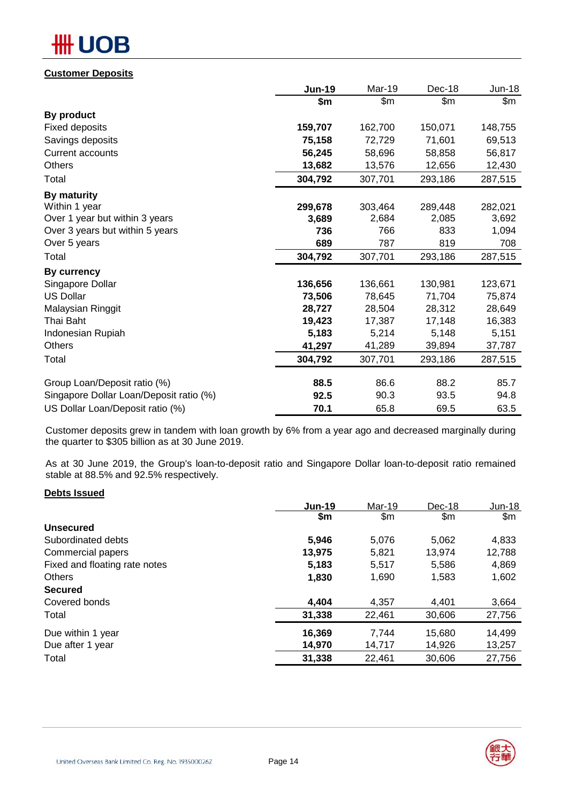# **OB**

## **Customer Deposits**

|                                         | <b>Jun-19</b> | Mar-19  | Dec-18  | <b>Jun-18</b> |
|-----------------------------------------|---------------|---------|---------|---------------|
|                                         | \$m           | \$m\$   | \$m     | \$m           |
| By product                              |               |         |         |               |
| <b>Fixed deposits</b>                   | 159,707       | 162,700 | 150,071 | 148,755       |
| Savings deposits                        | 75,158        | 72,729  | 71,601  | 69,513        |
| <b>Current accounts</b>                 | 56,245        | 58,696  | 58,858  | 56,817        |
| Others                                  | 13,682        | 13,576  | 12,656  | 12,430        |
| Total                                   | 304,792       | 307,701 | 293,186 | 287,515       |
| <b>By maturity</b>                      |               |         |         |               |
| Within 1 year                           | 299,678       | 303,464 | 289,448 | 282,021       |
| Over 1 year but within 3 years          | 3,689         | 2,684   | 2,085   | 3,692         |
| Over 3 years but within 5 years         | 736           | 766     | 833     | 1,094         |
| Over 5 years                            | 689           | 787     | 819     | 708           |
| Total                                   | 304,792       | 307,701 | 293,186 | 287,515       |
| By currency                             |               |         |         |               |
| Singapore Dollar                        | 136,656       | 136,661 | 130,981 | 123,671       |
| <b>US Dollar</b>                        | 73,506        | 78,645  | 71,704  | 75,874        |
| Malaysian Ringgit                       | 28,727        | 28,504  | 28,312  | 28,649        |
| Thai Baht                               | 19,423        | 17,387  | 17,148  | 16,383        |
| Indonesian Rupiah                       | 5,183         | 5,214   | 5,148   | 5,151         |
| <b>Others</b>                           | 41,297        | 41,289  | 39,894  | 37,787        |
| Total                                   | 304,792       | 307,701 | 293,186 | 287,515       |
| Group Loan/Deposit ratio (%)            | 88.5          | 86.6    | 88.2    | 85.7          |
| Singapore Dollar Loan/Deposit ratio (%) | 92.5          | 90.3    | 93.5    | 94.8          |
| US Dollar Loan/Deposit ratio (%)        | 70.1          | 65.8    | 69.5    | 63.5          |

Customer deposits grew in tandem with loan growth by 6% from a year ago and decreased marginally during the quarter to \$305 billion as at 30 June 2019.

As at 30 June 2019, the Group's loan-to-deposit ratio and Singapore Dollar loan-to-deposit ratio remained stable at 88.5% and 92.5% respectively.

### **Debts Issued**

|                               | <b>Jun-19</b> | Mar-19 | Dec-18 | $Jun-18$ |
|-------------------------------|---------------|--------|--------|----------|
|                               | \$m           | \$m    | \$m    | \$m\$    |
| <b>Unsecured</b>              |               |        |        |          |
| Subordinated debts            | 5,946         | 5,076  | 5,062  | 4,833    |
| Commercial papers             | 13,975        | 5,821  | 13,974 | 12,788   |
| Fixed and floating rate notes | 5,183         | 5,517  | 5,586  | 4,869    |
| <b>Others</b>                 | 1,830         | 1,690  | 1,583  | 1,602    |
| <b>Secured</b>                |               |        |        |          |
| Covered bonds                 | 4,404         | 4,357  | 4.401  | 3,664    |
| Total                         | 31,338        | 22,461 | 30,606 | 27,756   |
| Due within 1 year             | 16,369        | 7,744  | 15,680 | 14,499   |
| Due after 1 year              | 14,970        | 14,717 | 14,926 | 13,257   |
| Total                         | 31,338        | 22,461 | 30,606 | 27,756   |

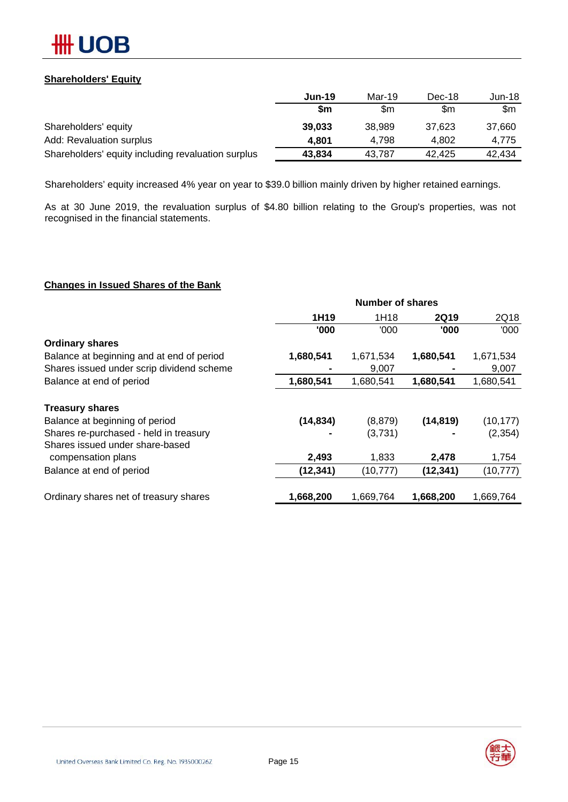

## **Shareholders' Equity**

|                                                    | <b>Jun-19</b> | Mar-19 | Dec-18 | Jun-18 |
|----------------------------------------------------|---------------|--------|--------|--------|
|                                                    | \$m           | \$m    | \$m    | \$m    |
| Shareholders' equity                               | 39,033        | 38,989 | 37.623 | 37.660 |
| Add: Revaluation surplus                           | 4.801         | 4.798  | 4.802  | 4.775  |
| Shareholders' equity including revaluation surplus | 43,834        | 43.787 | 42.425 | 42.434 |

Shareholders' equity increased 4% year on year to \$39.0 billion mainly driven by higher retained earnings.

As at 30 June 2019, the revaluation surplus of \$4.80 billion relating to the Group's properties, was not recognised in the financial statements.

### **Changes in Issued Shares of the Bank**

|                                           |           | <b>Number of shares</b> |             |           |
|-------------------------------------------|-----------|-------------------------|-------------|-----------|
|                                           | 1H19      | 1H18                    | <b>2Q19</b> | 2Q18      |
|                                           | '000      | '000                    | '000        | '000      |
| <b>Ordinary shares</b>                    |           |                         |             |           |
| Balance at beginning and at end of period | 1,680,541 | 1,671,534               | 1,680,541   | 1,671,534 |
| Shares issued under scrip dividend scheme |           | 9,007                   |             | 9,007     |
| Balance at end of period                  | 1,680,541 | 1,680,541               | 1,680,541   | 1,680,541 |
| <b>Treasury shares</b>                    |           |                         |             |           |
| Balance at beginning of period            | (14, 834) | (8, 879)                | (14, 819)   | (10, 177) |
| Shares re-purchased - held in treasury    |           | (3,731)                 |             | (2, 354)  |
| Shares issued under share-based           |           |                         |             |           |
| compensation plans                        | 2,493     | 1,833                   | 2,478       | 1,754     |
| Balance at end of period                  | (12, 341) | (10, 777)               | (12, 341)   | (10, 777) |
| Ordinary shares net of treasury shares    | 1,668,200 | 1,669,764               | 1,668,200   | 1,669,764 |
|                                           |           |                         |             |           |

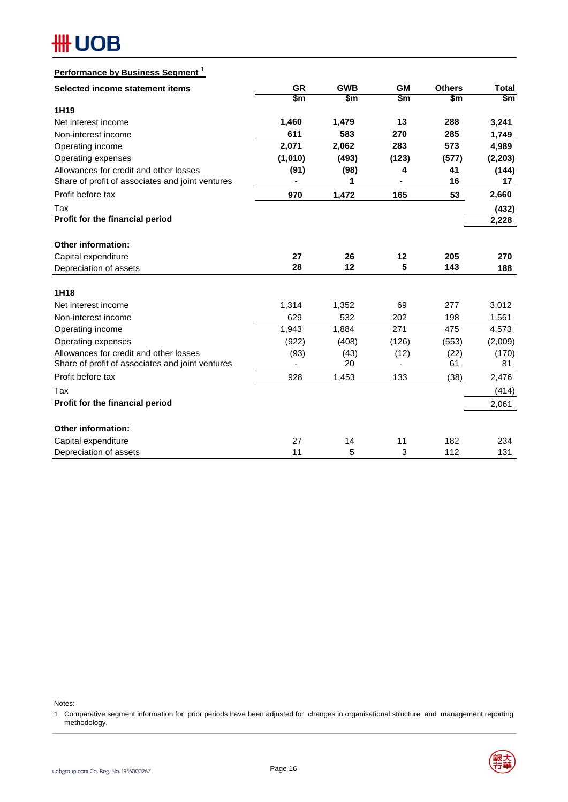## **HH UOB**

| Performance by Business Segment <sup>1</sup>     |               |               |               |               |               |
|--------------------------------------------------|---------------|---------------|---------------|---------------|---------------|
| Selected income statement items                  | <b>GR</b>     | <b>GWB</b>    | <b>GM</b>     | <b>Others</b> | <b>Total</b>  |
|                                                  | $\frac{2}{3}$ | $\frac{2}{3}$ | $\frac{2}{3}$ | $\frac{2}{3}$ | $\frac{2}{3}$ |
| 1H19                                             |               |               |               |               |               |
| Net interest income                              | 1,460         | 1,479         | 13            | 288           | 3,241         |
| Non-interest income                              | 611           | 583           | 270           | 285           | 1,749         |
| Operating income                                 | 2,071         | 2,062         | 283           | 573           | 4,989         |
| Operating expenses                               | (1,010)       | (493)         | (123)         | (577)         | (2, 203)      |
| Allowances for credit and other losses           | (91)          | (98)          | 4             | 41            | (144)         |
| Share of profit of associates and joint ventures |               | 1             |               | 16            | 17            |
| Profit before tax                                | 970           | 1,472         | 165           | 53            | 2,660         |
| Tax                                              |               |               |               |               | (432)         |
| Profit for the financial period                  |               |               |               |               | 2,228         |
|                                                  |               |               |               |               |               |
| Other information:                               |               |               |               |               |               |
| Capital expenditure                              | 27<br>28      | 26<br>12      | 12<br>5       | 205<br>143    | 270           |
| Depreciation of assets                           |               |               |               |               | 188           |
| 1H18                                             |               |               |               |               |               |
| Net interest income                              | 1,314         | 1,352         | 69            | 277           | 3,012         |
| Non-interest income                              | 629           | 532           | 202           | 198           | 1,561         |
| Operating income                                 | 1,943         | 1,884         | 271           | 475           | 4,573         |
| Operating expenses                               | (922)         | (408)         | (126)         | (553)         | (2,009)       |
| Allowances for credit and other losses           | (93)          | (43)          | (12)          | (22)          | (170)         |
| Share of profit of associates and joint ventures |               | 20            |               | 61            | 81            |
| Profit before tax                                | 928           | 1,453         | 133           | (38)          | 2,476         |
| Tax                                              |               |               |               |               | (414)         |
| Profit for the financial period                  |               |               |               |               | 2,061         |
| <b>Other information:</b>                        |               |               |               |               |               |
| Capital expenditure                              | 27            | 14            | 11            | 182           | 234           |
| Depreciation of assets                           | 11            | 5             | 3             | 112           | 131           |

Notes:

1 Comparative segment information for prior periods have been adjusted for changes in organisational structure and management reporting methodology.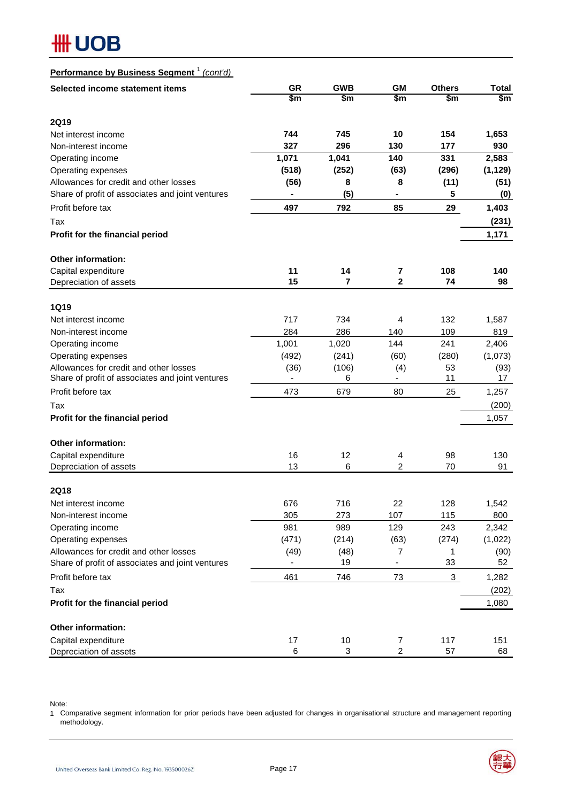## **HH UOB**

## **Performance by Business Segment** <sup>1</sup> *(cont'd)*

| Selected income statement items                  | <b>GR</b><br>\$m         | <b>GWB</b><br>\$m | <b>GM</b><br>\$m | <b>Others</b><br>\$m | <b>Total</b><br>\$m |
|--------------------------------------------------|--------------------------|-------------------|------------------|----------------------|---------------------|
|                                                  |                          |                   |                  |                      |                     |
| <b>2Q19</b>                                      |                          |                   |                  |                      |                     |
| Net interest income                              | 744                      | 745               | 10               | 154                  | 1,653               |
| Non-interest income                              | 327                      | 296               | 130              | 177                  | 930                 |
| Operating income                                 | 1,071                    | 1,041             | 140              | 331                  | 2,583               |
| Operating expenses                               | (518)                    | (252)             | (63)             | (296)                | (1, 129)            |
| Allowances for credit and other losses           | (56)                     | 8                 | 8                | (11)                 | (51)                |
| Share of profit of associates and joint ventures |                          | (5)               |                  | 5                    | (0)                 |
| Profit before tax                                | 497                      | 792               | 85               | 29                   | 1,403               |
| Tax                                              |                          |                   |                  |                      | (231)               |
| Profit for the financial period                  |                          |                   |                  |                      | 1,171               |
| <b>Other information:</b>                        |                          |                   |                  |                      |                     |
| Capital expenditure                              | 11                       | 14                | 7                | 108                  | 140                 |
| Depreciation of assets                           | 15                       | $\overline{7}$    | $\mathbf{2}$     | 74                   | 98                  |
| <b>1Q19</b>                                      |                          |                   |                  |                      |                     |
| Net interest income                              | 717                      | 734               | 4                | 132                  | 1,587               |
| Non-interest income                              | 284                      | 286               | 140              | 109                  | 819                 |
| Operating income                                 | 1,001                    | 1,020             | 144              | 241                  | 2,406               |
| Operating expenses                               | (492)                    | (241)             | (60)             | (280)                | (1,073)             |
| Allowances for credit and other losses           | (36)                     | (106)             | (4)              | 53                   | (93)                |
| Share of profit of associates and joint ventures | $\overline{\phantom{0}}$ | 6                 | ۰                | 11                   | 17                  |
| Profit before tax                                | 473                      | 679               | 80               | 25                   | 1,257               |
| Tax                                              |                          |                   |                  |                      | (200)               |
| Profit for the financial period                  |                          |                   |                  |                      | 1,057               |
| <b>Other information:</b>                        |                          |                   |                  |                      |                     |
| Capital expenditure                              | 16                       | 12                | 4                | 98                   | 130                 |
| Depreciation of assets                           | 13                       | 6                 | $\overline{c}$   | 70                   | 91                  |
| <b>2Q18</b>                                      |                          |                   |                  |                      |                     |
| Net interest income                              | 676                      | 716               | 22               | 128                  | 1,542               |
| Non-interest income                              | 305                      | 273               | 107              | 115                  | 800                 |
| Operating income                                 | 981                      | 989               | 129              | 243                  | 2,342               |
| Operating expenses                               | (471)                    | (214)             | (63)             | (274)                | (1,022)             |
| Allowances for credit and other losses           | (49)                     | (48)              | 7                | 1                    | (90)                |
| Share of profit of associates and joint ventures |                          | 19                | -                | 33                   | 52                  |
| Profit before tax                                | 461                      | 746               | 73               | 3                    | 1,282               |
| Tax                                              |                          |                   |                  |                      | (202)               |
| Profit for the financial period                  |                          |                   |                  |                      | 1,080               |
| Other information:                               |                          |                   |                  |                      |                     |
| Capital expenditure                              | 17                       | 10                | 7                | 117                  | 151                 |
| Depreciation of assets                           | 6                        | 3                 | $\overline{c}$   | 57                   | 68                  |

Note:

1 Comparative segment information for prior periods have been adjusted for changes in organisational structure and management reporting methodology.

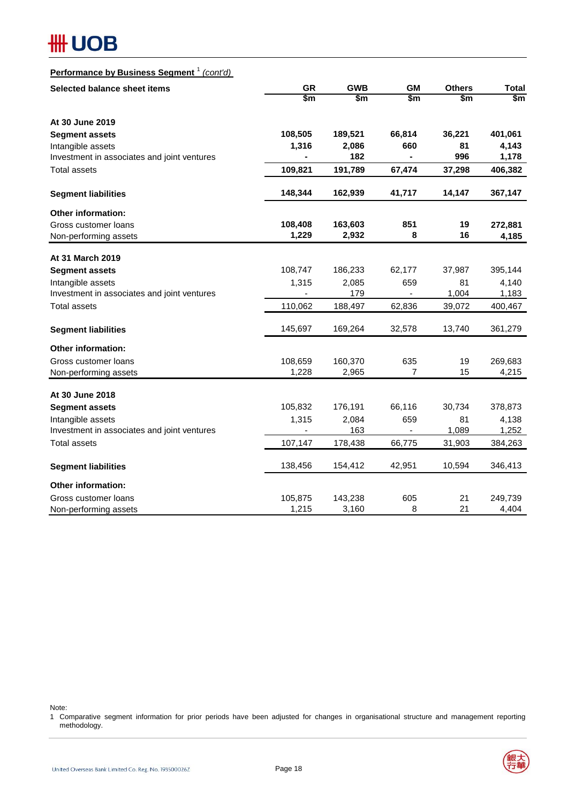## **#H UOB**

## **Performance by Business Segment** <sup>1</sup> *(cont'd)*

| Selected balance sheet items                | <b>GR</b>     | <b>GWB</b>    | <b>GM</b>                | <b>Others</b> | <b>Total</b> |  |
|---------------------------------------------|---------------|---------------|--------------------------|---------------|--------------|--|
|                                             | $\frac{2}{3}$ | $\frac{2}{3}$ | \$m                      | \$m           | \$m          |  |
| At 30 June 2019                             |               |               |                          |               |              |  |
| <b>Segment assets</b>                       | 108,505       | 189,521       | 66,814                   | 36,221        | 401,061      |  |
| Intangible assets                           | 1,316         | 2,086         | 660                      | 81            | 4,143        |  |
| Investment in associates and joint ventures |               | 182           | $\overline{\phantom{a}}$ | 996           | 1,178        |  |
| <b>Total assets</b>                         | 109,821       | 191,789       | 67,474                   | 37,298        | 406,382      |  |
| <b>Segment liabilities</b>                  | 148,344       | 162,939       | 41,717                   | 14,147        | 367,147      |  |
| Other information:                          |               |               |                          |               |              |  |
| Gross customer loans                        | 108,408       | 163,603       | 851                      | 19            | 272,881      |  |
| Non-performing assets                       | 1,229         | 2,932         | 8                        | 16            | 4,185        |  |
| At 31 March 2019                            |               |               |                          |               |              |  |
| <b>Segment assets</b>                       | 108,747       | 186,233       | 62,177                   | 37,987        | 395,144      |  |
| Intangible assets                           | 1,315         | 2,085         | 659                      | 81            | 4,140        |  |
| Investment in associates and joint ventures |               | 179           | $\overline{\phantom{a}}$ | 1,004         | 1,183        |  |
| <b>Total assets</b>                         | 110,062       | 188,497       | 62,836                   | 39,072        | 400,467      |  |
| <b>Segment liabilities</b>                  | 145,697       | 169,264       | 32,578                   | 13,740        | 361,279      |  |
| Other information:                          |               |               |                          |               |              |  |
| Gross customer loans                        | 108,659       | 160,370       | 635                      | 19            | 269,683      |  |
| Non-performing assets                       | 1,228         | 2,965         | 7                        | 15            | 4,215        |  |
| At 30 June 2018                             |               |               |                          |               |              |  |
| <b>Segment assets</b>                       | 105,832       | 176,191       | 66,116                   | 30,734        | 378,873      |  |
| Intangible assets                           | 1,315         | 2,084         | 659                      | 81            | 4,138        |  |
| Investment in associates and joint ventures |               | 163           |                          | 1,089         | 1,252        |  |
| <b>Total assets</b>                         | 107,147       | 178,438       | 66,775                   | 31,903        | 384,263      |  |
| <b>Segment liabilities</b>                  | 138,456       | 154,412       | 42,951                   | 10,594        | 346,413      |  |
| <b>Other information:</b>                   |               |               |                          |               |              |  |
| Gross customer loans                        | 105,875       | 143,238       | 605                      | 21            | 249,739      |  |
| Non-performing assets                       | 1,215         | 3,160         | 8                        | 21            | 4,404        |  |

Note:

1 Comparative segment information for prior periods have been adjusted for changes in organisational structure and management reporting methodology.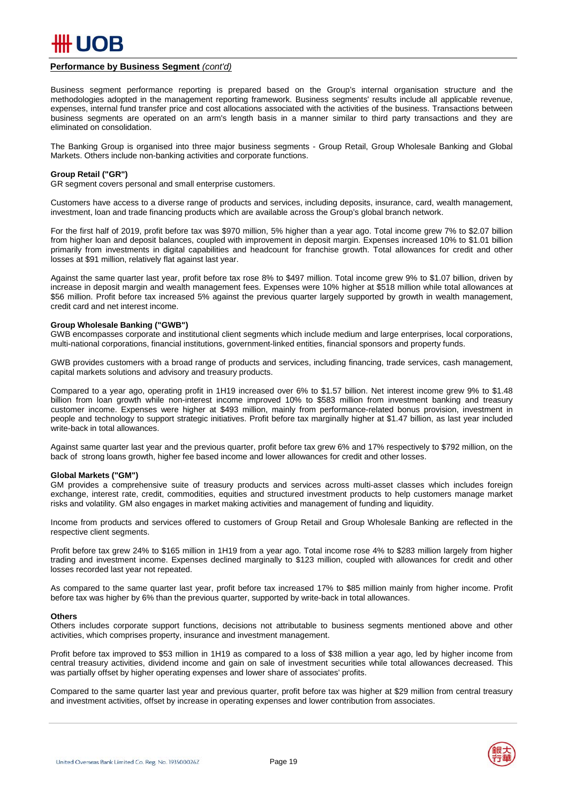

#### **Performance by Business Segment** *(cont'd)*

Business segment performance reporting is prepared based on the Group's internal organisation structure and the methodologies adopted in the management reporting framework. Business segments' results include all applicable revenue, expenses, internal fund transfer price and cost allocations associated with the activities of the business. Transactions between business segments are operated on an arm's length basis in a manner similar to third party transactions and they are eliminated on consolidation.

The Banking Group is organised into three major business segments - Group Retail, Group Wholesale Banking and Global Markets. Others include non-banking activities and corporate functions.

#### **Group Retail ("GR")**

GR segment covers personal and small enterprise customers.

Customers have access to a diverse range of products and services, including deposits, insurance, card, wealth management, investment, loan and trade financing products which are available across the Group's global branch network.

For the first half of 2019, profit before tax was \$970 million, 5% higher than a year ago. Total income grew 7% to \$2.07 billion from higher loan and deposit balances, coupled with improvement in deposit margin. Expenses increased 10% to \$1.01 billion primarily from investments in digital capabilities and headcount for franchise growth. Total allowances for credit and other losses at \$91 million, relatively flat against last year.

Against the same quarter last year, profit before tax rose 8% to \$497 million. Total income grew 9% to \$1.07 billion, driven by increase in deposit margin and wealth management fees. Expenses were 10% higher at \$518 million while total allowances at \$56 million. Profit before tax increased 5% against the previous quarter largely supported by growth in wealth management, credit card and net interest income.

#### **Group Wholesale Banking ("GWB")**

GWB encompasses corporate and institutional client segments which include medium and large enterprises, local corporations, multi-national corporations, financial institutions, government-linked entities, financial sponsors and property funds.

GWB provides customers with a broad range of products and services, including financing, trade services, cash management, capital markets solutions and advisory and treasury products.

Compared to a year ago, operating profit in 1H19 increased over 6% to \$1.57 billion. Net interest income grew 9% to \$1.48 billion from loan growth while non-interest income improved 10% to \$583 million from investment banking and treasury customer income. Expenses were higher at \$493 million, mainly from performance-related bonus provision, investment in people and technology to support strategic initiatives. Profit before tax marginally higher at \$1.47 billion, as last year included write-back in total allowances.

Against same quarter last year and the previous quarter, profit before tax grew 6% and 17% respectively to \$792 million, on the back of strong loans growth, higher fee based income and lower allowances for credit and other losses.

#### **Global Markets ("GM")**

GM provides a comprehensive suite of treasury products and services across multi-asset classes which includes foreign exchange, interest rate, credit, commodities, equities and structured investment products to help customers manage market risks and volatility. GM also engages in market making activities and management of funding and liquidity.

Income from products and services offered to customers of Group Retail and Group Wholesale Banking are reflected in the respective client segments.

Profit before tax grew 24% to \$165 million in 1H19 from a year ago. Total income rose 4% to \$283 million largely from higher trading and investment income. Expenses declined marginally to \$123 million, coupled with allowances for credit and other losses recorded last year not repeated.

As compared to the same quarter last year, profit before tax increased 17% to \$85 million mainly from higher income. Profit before tax was higher by 6% than the previous quarter, supported by write-back in total allowances.

#### **Others**

Others includes corporate support functions, decisions not attributable to business segments mentioned above and other activities, which comprises property, insurance and investment management.

Profit before tax improved to \$53 million in 1H19 as compared to a loss of \$38 million a year ago, led by higher income from central treasury activities, dividend income and gain on sale of investment securities while total allowances decreased. This was partially offset by higher operating expenses and lower share of associates' profits.

Compared to the same quarter last year and previous quarter, profit before tax was higher at \$29 million from central treasury and investment activities, offset by increase in operating expenses and lower contribution from associates.

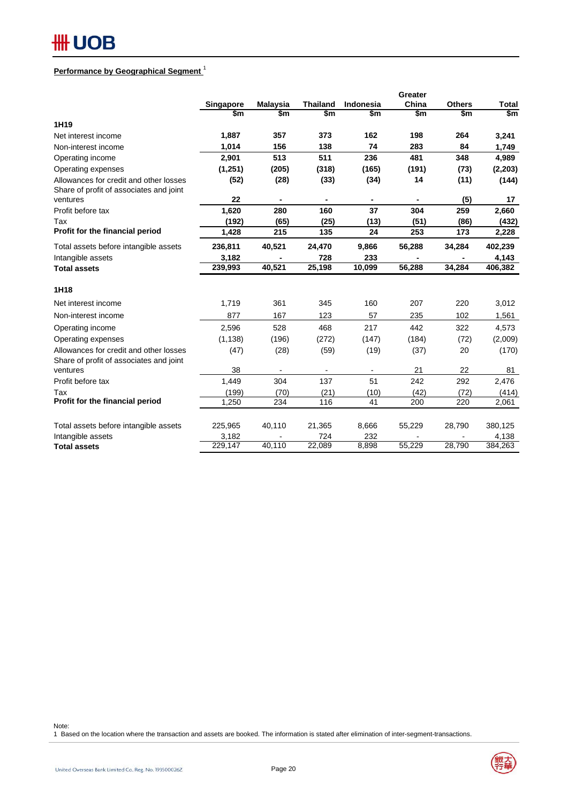#### **Performance by Geographical Segment** <sup>1</sup>

|                                                                                   |           |                 |                 |                | Greater |               |              |
|-----------------------------------------------------------------------------------|-----------|-----------------|-----------------|----------------|---------|---------------|--------------|
|                                                                                   | Singapore | <b>Malaysia</b> | <b>Thailand</b> | Indonesia      | China   | <b>Others</b> | <b>Total</b> |
|                                                                                   | \$m       | \$m             | \$m             | \$m            | \$m     | \$m           | \$m          |
| 1H19                                                                              |           |                 |                 |                |         |               |              |
| Net interest income                                                               | 1,887     | 357             | 373             | 162            | 198     | 264           | 3,241        |
| Non-interest income                                                               | 1,014     | 156             | 138             | 74             | 283     | 84            | 1,749        |
| Operating income                                                                  | 2,901     | 513             | 511             | 236            | 481     | 348           | 4,989        |
| Operating expenses                                                                | (1,251)   | (205)           | (318)           | (165)          | (191)   | (73)          | (2, 203)     |
| Allowances for credit and other losses<br>Share of profit of associates and joint | (52)      | (28)            | (33)            | (34)           | 14      | (11)          | (144)        |
| ventures                                                                          | 22        | $\blacksquare$  | $\blacksquare$  | $\blacksquare$ |         | (5)           | 17           |
| Profit before tax                                                                 | 1,620     | 280             | 160             | 37             | 304     | 259           | 2,660        |
| Tax                                                                               | (192)     | (65)            | (25)            | (13)           | (51)    | (86)          | (432)        |
| Profit for the financial period                                                   | 1,428     | 215             | 135             | 24             | 253     | 173           | 2,228        |
| Total assets before intangible assets                                             | 236,811   | 40,521          | 24,470          | 9,866          | 56,288  | 34,284        | 402,239      |
| Intangible assets                                                                 | 3,182     |                 | 728             | 233            |         |               | 4,143        |
| <b>Total assets</b>                                                               | 239,993   | 40,521          | 25,198          | 10,099         | 56,288  | 34,284        | 406,382      |
| 1H18                                                                              |           |                 |                 |                |         |               |              |
| Net interest income                                                               | 1,719     | 361             | 345             | 160            | 207     | 220           | 3,012        |
| Non-interest income                                                               | 877       | 167             | 123             | 57             | 235     | 102           | 1,561        |
| Operating income                                                                  | 2,596     | 528             | 468             | 217            | 442     | 322           | 4,573        |
| Operating expenses                                                                | (1, 138)  | (196)           | (272)           | (147)          | (184)   | (72)          | (2,009)      |
| Allowances for credit and other losses<br>Share of profit of associates and joint | (47)      | (28)            | (59)            | (19)           | (37)    | 20            | (170)        |
| ventures                                                                          | 38        |                 | $\sim$          | ٠              | 21      | 22            | 81           |
| Profit before tax                                                                 | 1.449     | 304             | 137             | 51             | 242     | 292           | 2,476        |
| Tax                                                                               | (199)     | (70)            | (21)            | (10)           | (42)    | (72)          | (414)        |
| Profit for the financial period                                                   | 1,250     | 234             | 116             | 41             | 200     | 220           | 2,061        |
| Total assets before intangible assets                                             | 225,965   | 40,110          | 21,365          | 8,666          | 55,229  | 28,790        | 380,125      |
| Intangible assets                                                                 | 3,182     |                 | 724             | 232            |         |               | 4,138        |
| <b>Total assets</b>                                                               | 229,147   | 40,110          | 22,089          | 8,898          | 55,229  | 28,790        | 384,263      |

Note:

1 Based on the location where the transaction and assets are booked. The information is stated after elimination of inter-segment-transactions.

金銀大学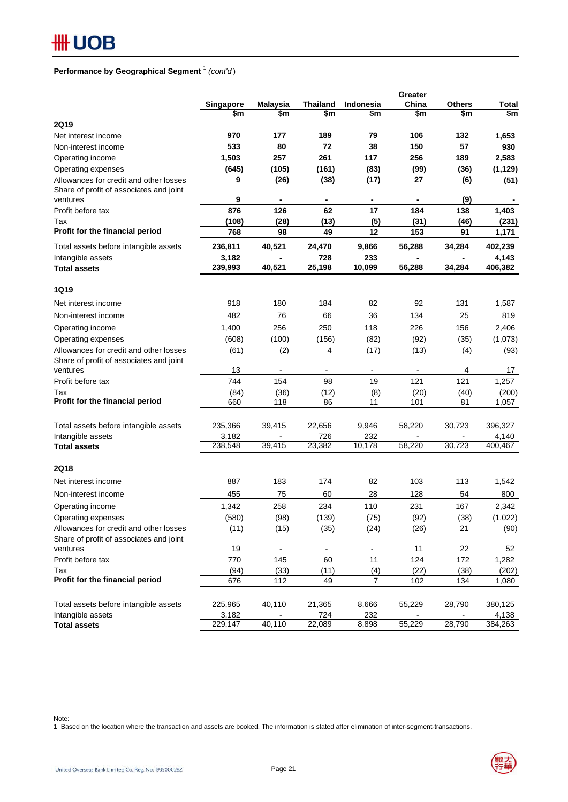#### **Performance by Geographical Segment** <sup>1</sup> *(cont'd* )

|                                                                                   |           |                 |                 |                  | Greater   |               |                          |
|-----------------------------------------------------------------------------------|-----------|-----------------|-----------------|------------------|-----------|---------------|--------------------------|
|                                                                                   | Singapore | <b>Malaysia</b> | <b>Thailand</b> | <b>Indonesia</b> | China     | <b>Others</b> | Total                    |
|                                                                                   | \$m       | \$m             | \$m             | \$m              | \$m       | \$m           | $\overline{\mathsf{sm}}$ |
| 2Q19                                                                              |           |                 |                 |                  |           |               |                          |
| Net interest income                                                               | 970       | 177             | 189             | 79               | 106       | 132           | 1,653                    |
| Non-interest income                                                               | 533       | 80              | 72              | 38               | 150       | 57            | 930                      |
| Operating income                                                                  | 1,503     | 257             | 261             | 117              | 256       | 189           | 2,583                    |
| Operating expenses                                                                | (645)     | (105)           | (161)           | (83)             | (99)      | (36)          | (1, 129)                 |
| Allowances for credit and other losses<br>Share of profit of associates and joint | 9         | (26)            | (38)            | (17)             | 27        | (6)           | (51)                     |
| ventures                                                                          | 9         |                 |                 |                  |           | (9)           |                          |
| Profit before tax                                                                 | 876       | 126             | 62              | 17               | 184       | 138           | 1,403                    |
| Tax                                                                               | (108)     | (28)            | (13)            | (5)              | (31)      | (46)          | (231)                    |
| Profit for the financial period                                                   | 768       | 98              | 49              | 12               | 153       | 91            | 1,171                    |
| Total assets before intangible assets                                             | 236,811   | 40,521          | 24,470          | 9,866            | 56,288    | 34,284        | 402,239                  |
| Intangible assets                                                                 | 3,182     |                 | 728             | 233              |           |               | 4,143                    |
| <b>Total assets</b>                                                               | 239,993   | 40,521          | 25,198          | 10,099           | 56,288    | 34,284        | 406,382                  |
| 1Q19                                                                              |           |                 |                 |                  |           |               |                          |
| Net interest income                                                               | 918       | 180             | 184             | 82               | 92        | 131           | 1,587                    |
| Non-interest income                                                               | 482       | 76              | 66              | 36               | 134       | 25            | 819                      |
| Operating income                                                                  | 1,400     | 256             | 250             | 118              | 226       | 156           | 2,406                    |
| Operating expenses                                                                | (608)     | (100)           | (156)           | (82)             | (92)      | (35)          | (1,073)                  |
| Allowances for credit and other losses                                            | (61)      | (2)             | 4               | (17)             | (13)      | (4)           | (93)                     |
| Share of profit of associates and joint                                           |           |                 |                 |                  |           |               |                          |
| ventures                                                                          | 13        |                 |                 |                  |           | 4             | 17                       |
| Profit before tax                                                                 | 744       | 154             | 98              | 19               | 121       | 121           | 1,257                    |
| Tax                                                                               | (84)      | (36)            | (12)            | (8)              | (20)      | (40)          | (200)                    |
| Profit for the financial period                                                   | 660       | 118             | 86              | 11               | 101       | 81            | 1,057                    |
|                                                                                   |           |                 |                 |                  |           |               |                          |
| Total assets before intangible assets                                             | 235,366   | 39,415          | 22,656          | 9,946            | 58,220    | 30,723        | 396,327                  |
| Intangible assets                                                                 | 3,182     | 39,415          | 726<br>23,382   | 232<br>10,178    | 58,220    | 30,723        | 4,140<br>400,467         |
| <b>Total assets</b>                                                               | 238,548   |                 |                 |                  |           |               |                          |
| 2Q18                                                                              |           |                 |                 |                  |           |               |                          |
| Net interest income                                                               | 887       | 183             | 174             | 82               | 103       | 113           | 1,542                    |
| Non-interest income                                                               | 455       | 75              | 60              | 28               | 128       | 54            | 800                      |
| Operating income                                                                  | 1,342     | 258             | 234             | 110              | 231       | 167           | 2,342                    |
| Operating expenses                                                                | (580)     | (98)            | (139)           | (75)             | (92)      | (38)          | (1,022)                  |
| Allowances for credit and other losses                                            | (11)      | (15)            | (35)            | (24)             | (26)      | 21            | (90)                     |
| Share of profit of associates and joint                                           |           |                 |                 |                  |           |               |                          |
| ventures                                                                          | 19        |                 |                 |                  | <u>11</u> | 22            | 52                       |
| Profit before tax                                                                 | 770       | 145             | 60              | 11               | 124       | 172           | 1,282                    |
| Tax                                                                               | (94)      | (33)            | (11)            | (4)              | (22)      | (38)          | (202)                    |
| Profit for the financial period                                                   | 676       | 112             | 49              | $\overline{7}$   | 102       | 134           | 1,080                    |
|                                                                                   |           |                 |                 |                  |           |               |                          |
| Total assets before intangible assets                                             | 225,965   | 40,110          | 21,365          | 8,666            | 55,229    | 28,790        | 380,125                  |
| Intangible assets                                                                 | 3,182     |                 | 724             | 232              |           |               | 4,138                    |
| <b>Total assets</b>                                                               | 229,147   | 40,110          | 22,089          | 8,898            | 55,229    | 28,790        | 384,263                  |

Note:

1 Based on the location where the transaction and assets are booked. The information is stated after elimination of inter-segment-transactions.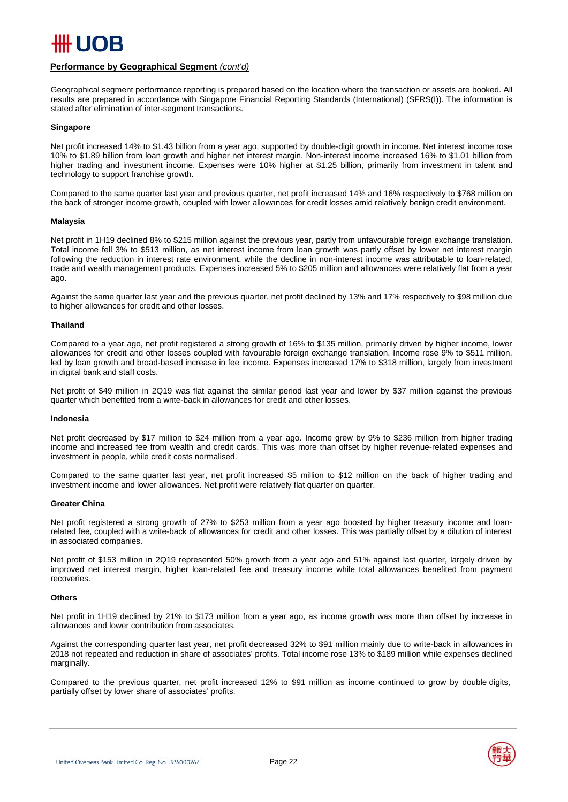

#### **Performance by Geographical Segment** *(cont'd)*

Geographical segment performance reporting is prepared based on the location where the transaction or assets are booked. All results are prepared in accordance with Singapore Financial Reporting Standards (International) (SFRS(I)). The information is stated after elimination of inter-segment transactions.

#### **Singapore**

Net profit increased 14% to \$1.43 billion from a year ago, supported by double-digit growth in income. Net interest income rose 10% to \$1.89 billion from loan growth and higher net interest margin. Non-interest income increased 16% to \$1.01 billion from higher trading and investment income. Expenses were 10% higher at \$1.25 billion, primarily from investment in talent and technology to support franchise growth.

Compared to the same quarter last year and previous quarter, net profit increased 14% and 16% respectively to \$768 million on the back of stronger income growth, coupled with lower allowances for credit losses amid relatively benign credit environment.

#### **Malaysia**

Net profit in 1H19 declined 8% to \$215 million against the previous year, partly from unfavourable foreign exchange translation. Total income fell 3% to \$513 million, as net interest income from loan growth was partly offset by lower net interest margin following the reduction in interest rate environment, while the decline in non-interest income was attributable to loan-related, trade and wealth management products. Expenses increased 5% to \$205 million and allowances were relatively flat from a year ago.

Against the same quarter last year and the previous quarter, net profit declined by 13% and 17% respectively to \$98 million due to higher allowances for credit and other losses.

#### **Thailand**

Compared to a year ago, net profit registered a strong growth of 16% to \$135 million, primarily driven by higher income, lower allowances for credit and other losses coupled with favourable foreign exchange translation. Income rose 9% to \$511 million, led by loan growth and broad-based increase in fee income. Expenses increased 17% to \$318 million, largely from investment in digital bank and staff costs.

Net profit of \$49 million in 2Q19 was flat against the similar period last year and lower by \$37 million against the previous quarter which benefited from a write-back in allowances for credit and other losses.

#### **Indonesia**

Net profit decreased by \$17 million to \$24 million from a year ago. Income grew by 9% to \$236 million from higher trading income and increased fee from wealth and credit cards. This was more than offset by higher revenue-related expenses and investment in people, while credit costs normalised.

Compared to the same quarter last year, net profit increased \$5 million to \$12 million on the back of higher trading and investment income and lower allowances. Net profit were relatively flat quarter on quarter.

#### **Greater China**

Net profit registered a strong growth of 27% to \$253 million from a year ago boosted by higher treasury income and loanrelated fee, coupled with a write-back of allowances for credit and other losses. This was partially offset by a dilution of interest in associated companies.

Net profit of \$153 million in 2Q19 represented 50% growth from a year ago and 51% against last quarter, largely driven by improved net interest margin, higher loan-related fee and treasury income while total allowances benefited from payment recoveries.

#### **Others**

Net profit in 1H19 declined by 21% to \$173 million from a year ago, as income growth was more than offset by increase in allowances and lower contribution from associates.

Against the corresponding quarter last year, net profit decreased 32% to \$91 million mainly due to write-back in allowances in 2018 not repeated and reduction in share of associates' profits. Total income rose 13% to \$189 million while expenses declined marginally.

Compared to the previous quarter, net profit increased 12% to \$91 million as income continued to grow by double digits, partially offset by lower share of associates' profits.

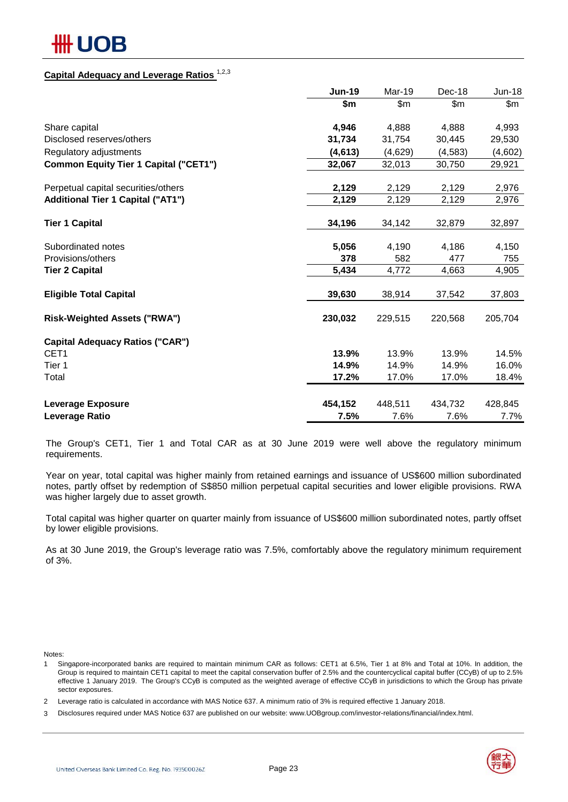## ## UOB

## **Capital Adequacy and Leverage Ratios** 1,2,3

|                                              | <b>Jun-19</b> | Mar-19  | Dec-18   | $Jun-18$ |
|----------------------------------------------|---------------|---------|----------|----------|
|                                              | \$m           | \$m\$   | \$m\$    | \$m\$    |
| Share capital                                | 4,946         | 4,888   | 4,888    | 4,993    |
| Disclosed reserves/others                    | 31,734        | 31,754  | 30,445   | 29,530   |
| Regulatory adjustments                       | (4,613)       | (4,629) | (4, 583) | (4,602)  |
| <b>Common Equity Tier 1 Capital ("CET1")</b> | 32,067        | 32,013  | 30,750   | 29,921   |
| Perpetual capital securities/others          | 2,129         | 2,129   | 2,129    | 2,976    |
| <b>Additional Tier 1 Capital ("AT1")</b>     | 2,129         | 2,129   | 2,129    | 2,976    |
| <b>Tier 1 Capital</b>                        | 34,196        | 34,142  | 32,879   | 32,897   |
| Subordinated notes                           | 5,056         | 4,190   | 4,186    | 4,150    |
| Provisions/others                            | 378           | 582     | 477      | 755      |
| <b>Tier 2 Capital</b>                        | 5,434         | 4,772   | 4,663    | 4,905    |
| <b>Eligible Total Capital</b>                | 39,630        | 38,914  | 37,542   | 37,803   |
| <b>Risk-Weighted Assets ("RWA")</b>          | 230,032       | 229,515 | 220,568  | 205,704  |
| <b>Capital Adequacy Ratios ("CAR")</b>       |               |         |          |          |
| CET <sub>1</sub>                             | 13.9%         | 13.9%   | 13.9%    | 14.5%    |
| Tier 1                                       | 14.9%         | 14.9%   | 14.9%    | 16.0%    |
| Total                                        | 17.2%         | 17.0%   | 17.0%    | 18.4%    |
| <b>Leverage Exposure</b>                     | 454,152       | 448,511 | 434,732  | 428,845  |
| Leverage Ratio                               | 7.5%          | 7.6%    | 7.6%     | 7.7%     |

The Group's CET1, Tier 1 and Total CAR as at 30 June 2019 were well above the regulatory minimum requirements.

Year on year, total capital was higher mainly from retained earnings and issuance of US\$600 million subordinated notes, partly offset by redemption of S\$850 million perpetual capital securities and lower eligible provisions. RWA was higher largely due to asset growth.

Total capital was higher quarter on quarter mainly from issuance of US\$600 million subordinated notes, partly offset by lower eligible provisions.

As at 30 June 2019, the Group's leverage ratio was 7.5%, comfortably above the regulatory minimum requirement of 3%.

Notes:

1 Singapore-incorporated banks are required to maintain minimum CAR as follows: CET1 at 6.5%, Tier 1 at 8% and Total at 10%. In addition, the Group is required to maintain CET1 capital to meet the capital conservation buffer of 2.5% and the countercyclical capital buffer (CCyB) of up to 2.5% effective 1 January 2019. The Group's CCyB is computed as the weighted average of effective CCyB in jurisdictions to which the Group has private sector exposures.

<sup>3</sup> Disclosures required under MAS Notice 637 are published on our website: www.UOBgroup.com/investor-relations/financial/index.html.



<sup>2</sup> Leverage ratio is calculated in accordance with MAS Notice 637. A minimum ratio of 3% is required effective 1 January 2018.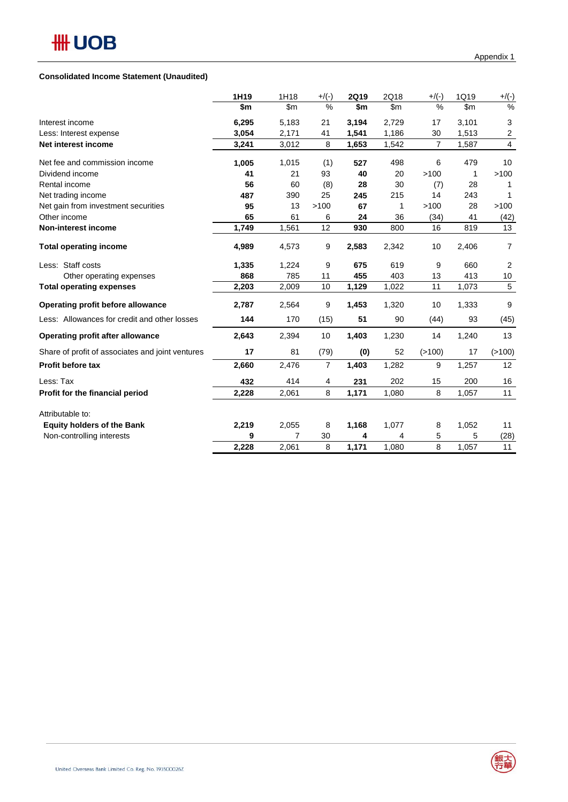#### **Consolidated Income Statement (Unaudited)**

|                                                  | 1H19  | 1H18  | $+$ /(-)       | <b>2Q19</b> | 2Q18  | $+$ /(-)       | 1Q19  | $+$ /(-)       |
|--------------------------------------------------|-------|-------|----------------|-------------|-------|----------------|-------|----------------|
|                                                  | \$m   | \$m   | %              | \$m         | \$m   | $\%$           | \$m   | $\%$           |
| Interest income                                  | 6,295 | 5,183 | 21             | 3,194       | 2,729 | 17             | 3,101 | 3              |
| Less: Interest expense                           | 3,054 | 2,171 | 41             | 1,541       | 1,186 | 30             | 1,513 | 2              |
| Net interest income                              | 3,241 | 3,012 | 8              | 1,653       | 1,542 | $\overline{7}$ | 1,587 | 4              |
| Net fee and commission income                    | 1,005 | 1,015 | (1)            | 527         | 498   | 6              | 479   | 10             |
| Dividend income                                  | 41    | 21    | 93             | 40          | 20    | >100           | 1     | >100           |
| Rental income                                    | 56    | 60    | (8)            | 28          | 30    | (7)            | 28    |                |
| Net trading income                               | 487   | 390   | 25             | 245         | 215   | 14             | 243   | $\mathbf 1$    |
| Net gain from investment securities              | 95    | 13    | >100           | 67          | 1     | >100           | 28    | >100           |
| Other income                                     | 65    | 61    | 6              | 24          | 36    | (34)           | 41    | (42)           |
| Non-interest income                              | 1,749 | 1,561 | 12             | 930         | 800   | 16             | 819   | 13             |
| <b>Total operating income</b>                    | 4,989 | 4,573 | 9              | 2,583       | 2,342 | 10             | 2,406 | $\overline{7}$ |
| Less: Staff costs                                | 1,335 | 1,224 | 9              | 675         | 619   | 9              | 660   | $\overline{2}$ |
| Other operating expenses                         | 868   | 785   | 11             | 455         | 403   | 13             | 413   | 10             |
| <b>Total operating expenses</b>                  | 2,203 | 2,009 | 10             | 1,129       | 1,022 | 11             | 1,073 | 5              |
| Operating profit before allowance                | 2,787 | 2,564 | 9              | 1,453       | 1,320 | 10             | 1,333 | 9              |
| Less: Allowances for credit and other losses     | 144   | 170   | (15)           | 51          | 90    | (44)           | 93    | (45)           |
| <b>Operating profit after allowance</b>          | 2,643 | 2,394 | 10             | 1,403       | 1,230 | 14             | 1,240 | 13             |
| Share of profit of associates and joint ventures | 17    | 81    | (79)           | (0)         | 52    | (>100)         | 17    | (>100)         |
| Profit before tax                                | 2,660 | 2,476 | $\overline{7}$ | 1,403       | 1,282 | 9              | 1,257 | 12             |
| Less: Tax                                        | 432   | 414   | 4              | 231         | 202   | 15             | 200   | 16             |
| Profit for the financial period                  | 2,228 | 2,061 | 8              | 1,171       | 1,080 | 8              | 1,057 | 11             |
| Attributable to:                                 |       |       |                |             |       |                |       |                |
| <b>Equity holders of the Bank</b>                | 2,219 | 2,055 | 8              | 1,168       | 1,077 | 8              | 1,052 | 11             |
| Non-controlling interests                        | 9     | 7     | 30             | 4           | 4     | 5              | 5     | (28)           |
|                                                  | 2,228 | 2,061 | 8              | 1,171       | 1,080 | 8              | 1,057 | 11             |

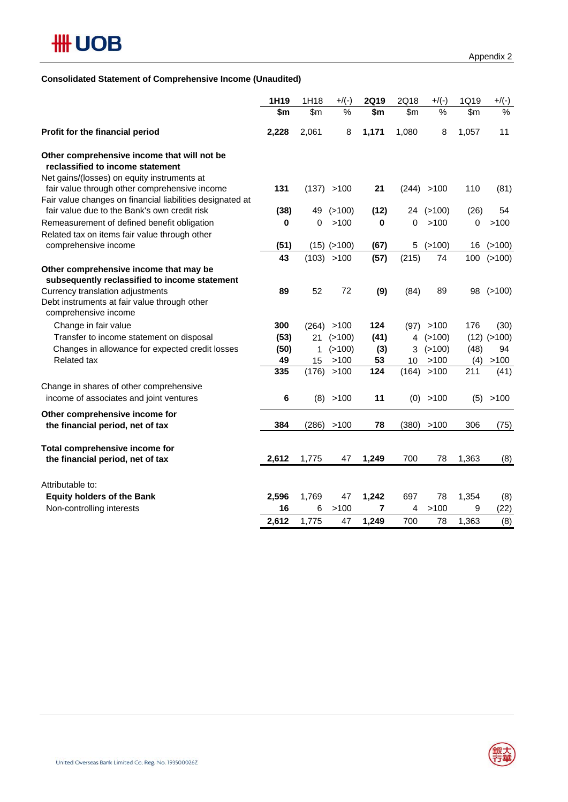

## **Consolidated Statement of Comprehensive Income (Unaudited)**

|                                                                                                                                | 1H19  | 1H18  | $+$ /(-)          | <b>2Q19</b> | 2Q18           | $+$ /(-)    | 1Q19  | $+/(-)$         |
|--------------------------------------------------------------------------------------------------------------------------------|-------|-------|-------------------|-------------|----------------|-------------|-------|-----------------|
|                                                                                                                                | \$m   | \$m   | %                 | \$m         | \$m            | $\%$        | \$m   | $\%$            |
| Profit for the financial period                                                                                                | 2,228 | 2,061 | 8                 | 1,171       | 1,080          | 8           | 1,057 | 11              |
| Other comprehensive income that will not be<br>reclassified to income statement<br>Net gains/(losses) on equity instruments at |       |       |                   |             |                |             |       |                 |
| fair value through other comprehensive income<br>Fair value changes on financial liabilities designated at                     | 131   |       | (137) > 100       | 21          |                | (244) > 100 | 110   | (81)            |
| fair value due to the Bank's own credit risk                                                                                   | (38)  | 49    | (>100)            | (12)        |                | 24 (>100)   | (26)  | 54              |
| Remeasurement of defined benefit obligation                                                                                    | 0     | 0     | >100              | 0           | 0              | >100        | 0     | >100            |
| Related tax on items fair value through other                                                                                  |       |       |                   |             |                |             |       |                 |
| comprehensive income                                                                                                           | (51)  |       | $(15)$ ( $>100$ ) | (67)        | 5              | (>100)      | 16    | (>100)          |
|                                                                                                                                | 43    | (103) | >100              | (57)        | (215)          | 74          | 100   | (>100)          |
| Other comprehensive income that may be<br>subsequently reclassified to income statement                                        |       |       |                   |             |                |             |       |                 |
| Currency translation adjustments<br>Debt instruments at fair value through other<br>comprehensive income                       | 89    | 52    | 72                | (9)         | (84)           | 89          | 98    | (>100)          |
| Change in fair value                                                                                                           | 300   | (264) | >100              | 124         | (97)           | >100        | 176   | (30)            |
| Transfer to income statement on disposal                                                                                       | (53)  | 21    | (>100)            | (41)        | $\overline{4}$ | (>100)      |       | $(12)$ $(>100)$ |
| Changes in allowance for expected credit losses                                                                                | (50)  | 1     | (>100)            | (3)         | 3              | (>100)      | (48)  | 94              |
| <b>Related tax</b>                                                                                                             | 49    | 15    | >100              | 53          | 10             | >100        | (4)   | >100            |
|                                                                                                                                | 335   | (176) | >100              | 124         | (164)          | >100        | 211   | (41)            |
| Change in shares of other comprehensive<br>income of associates and joint ventures                                             | 6     |       | (8) > 100         | 11          |                | (0) > 100   | (5)   | >100            |
| Other comprehensive income for                                                                                                 |       |       |                   |             |                |             |       |                 |
| the financial period, net of tax                                                                                               | 384   | (286) | >100              | 78          | (380)          | >100        | 306   | (75)            |
| Total comprehensive income for<br>the financial period, net of tax                                                             | 2,612 | 1,775 | 47                | 1,249       | 700            | 78          | 1,363 | (8)             |
|                                                                                                                                |       |       |                   |             |                |             |       |                 |
| Attributable to:                                                                                                               |       |       |                   |             |                |             |       |                 |
| <b>Equity holders of the Bank</b>                                                                                              | 2,596 | 1,769 | 47                | 1,242       | 697            | 78          | 1,354 | (8)             |
| Non-controlling interests                                                                                                      | 16    | 6     | >100              | 7           | 4              | >100        | 9     | (22)            |
|                                                                                                                                | 2,612 | 1,775 | 47                | 1,249       | 700            | 78          | 1,363 | (8)             |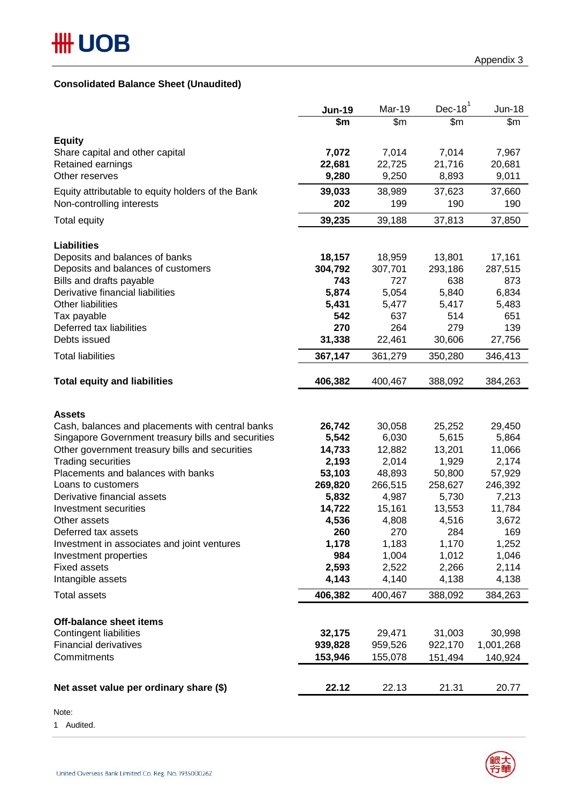## **Consolidated Balance Sheet (Unaudited)**

|                                                      | <b>Jun-19</b><br>\$m | Mar-19<br>$\overline{\$m}$ | Dec-18 $1$<br>\$m | <b>Jun-18</b><br>\$m |
|------------------------------------------------------|----------------------|----------------------------|-------------------|----------------------|
|                                                      |                      |                            |                   |                      |
| <b>Equity</b>                                        |                      |                            |                   |                      |
| Share capital and other capital                      | 7,072                | 7,014                      | 7,014             | 7,967                |
| Retained earnings                                    | 22,681               | 22,725                     | 21,716            | 20,681               |
| Other reserves                                       | 9,280                | 9,250                      | 8,893             | 9,011                |
| Equity attributable to equity holders of the Bank    | 39,033               | 38,989                     | 37,623            | 37,660               |
| Non-controlling interests                            | 202                  | 199                        | 190               | 190                  |
| Total equity                                         | 39,235               | 39,188                     | 37,813            | 37,850               |
| <b>Liabilities</b>                                   |                      |                            |                   |                      |
| Deposits and balances of banks                       | 18,157               | 18,959                     | 13,801            | 17,161               |
| Deposits and balances of customers                   | 304,792              | 307,701                    | 293,186           | 287,515              |
| Bills and drafts payable                             | 743                  | 727                        | 638               | 873                  |
| Derivative financial liabilities                     | 5,874                | 5,054                      | 5,840             | 6,834                |
| <b>Other liabilities</b>                             | 5,431                | 5,477                      | 5,417             | 5,483                |
| Tax payable                                          | 542                  | 637                        | 514               | 651                  |
| Deferred tax liabilities                             | 270                  | 264                        | 279               | 139                  |
| Debts issued                                         | 31,338               | 22,461                     | 30,606            | 27,756               |
| <b>Total liabilities</b>                             | 367,147              | 361,279                    | 350,280           | 346,413              |
| <b>Total equity and liabilities</b>                  | 406,382              | 400,467                    | 388,092           | 384,263              |
| <b>Assets</b>                                        |                      |                            |                   |                      |
| Cash, balances and placements with central banks     | 26,742               | 30,058                     | 25,252            | 29,450               |
| Singapore Government treasury bills and securities   | 5,542                | 6,030                      | 5,615             | 5,864                |
| Other government treasury bills and securities       | 14,733               | 12,882                     | 13,201            | 11,066               |
| <b>Trading securities</b>                            | 2,193                | 2,014                      | 1,929             | 2,174                |
| Placements and balances with banks                   | 53,103               | 48,893                     | 50,800            | 57,929               |
| Loans to customers                                   | 269,820              | 266,515                    | 258,627           | 246,392              |
| Derivative financial assets<br>Investment securities | 5,832<br>14,722      | 4,987<br>15,161            | 5,730<br>13,553   | 7,213<br>11,784      |
| Other assets                                         | 4,536                | 4,808                      | 4,516             | 3,672                |
| Deferred tax assets                                  | 260                  | 270                        | 284               | 169                  |
| Investment in associates and joint ventures          | 1,178                | 1,183                      | 1,170             | 1,252                |
| Investment properties                                | 984                  | 1,004                      | 1,012             | 1,046                |
| <b>Fixed assets</b>                                  | 2,593                | 2,522                      | 2,266             | 2,114                |
| Intangible assets                                    | 4,143                | 4,140                      | 4,138             | 4,138                |
| <b>Total assets</b>                                  | 406,382              | 400,467                    | 388,092           | 384,263              |
| <b>Off-balance sheet items</b>                       |                      |                            |                   |                      |
| <b>Contingent liabilities</b>                        | 32,175               | 29,471                     | 31,003            | 30,998               |
| <b>Financial derivatives</b>                         | 939,828              | 959,526                    | 922,170           | 1,001,268            |
| Commitments                                          | 153,946              | 155,078                    | 151,494           | 140,924              |
|                                                      |                      |                            |                   |                      |
| Net asset value per ordinary share (\$)              | 22.12                | 22.13                      | 21.31             | 20.77                |

Note:

1 Audited.

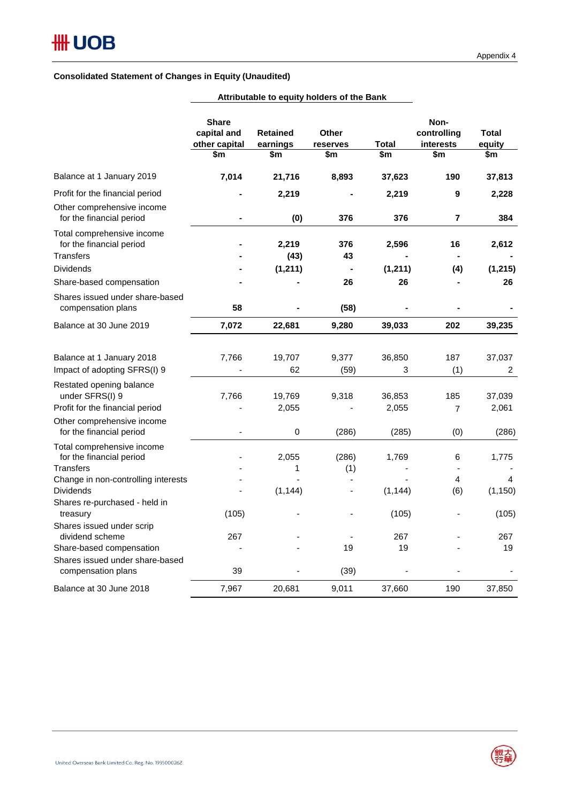## **Consolidated Statement of Changes in Equity (Unaudited)**

|                                                                                                             | <b>Share</b><br>capital and<br>other capital<br>\$m | <b>Retained</b><br>earnings<br>\$m | <b>Other</b><br>reserves<br>\$m | Total<br>\$m      | Non-<br>controlling<br>interests<br>\$m | <b>Total</b><br>equity<br>\$m |
|-------------------------------------------------------------------------------------------------------------|-----------------------------------------------------|------------------------------------|---------------------------------|-------------------|-----------------------------------------|-------------------------------|
| Balance at 1 January 2019                                                                                   | 7,014                                               | 21,716                             | 8,893                           | 37,623            | 190                                     | 37,813                        |
| Profit for the financial period                                                                             |                                                     | 2,219                              |                                 | 2,219             | 9                                       | 2,228                         |
| Other comprehensive income<br>for the financial period                                                      |                                                     | (0)                                | 376                             | 376               | 7                                       | 384                           |
| Total comprehensive income<br>for the financial period<br><b>Transfers</b><br><b>Dividends</b>              |                                                     | 2,219<br>(43)<br>(1, 211)          | 376<br>43                       | 2,596<br>(1, 211) | 16<br>(4)                               | 2,612<br>(1, 215)             |
| Share-based compensation                                                                                    |                                                     |                                    | 26                              | 26                |                                         | 26                            |
| Shares issued under share-based<br>compensation plans                                                       | 58                                                  |                                    | (58)                            |                   |                                         |                               |
| Balance at 30 June 2019                                                                                     | 7,072                                               | 22,681                             | 9,280                           | 39,033            | 202                                     | 39,235                        |
| Balance at 1 January 2018<br>Impact of adopting SFRS(I) 9                                                   | 7,766                                               | 19,707<br>62                       | 9,377<br>(59)                   | 36,850<br>3       | 187<br>(1)                              | 37,037<br>$\overline{2}$      |
| Restated opening balance<br>under SFRS(I) 9<br>Profit for the financial period                              | 7,766                                               | 19,769<br>2,055                    | 9,318                           | 36,853<br>2,055   | 185<br>$\overline{7}$                   | 37,039<br>2,061               |
| Other comprehensive income<br>for the financial period                                                      |                                                     | $\mathbf 0$                        | (286)                           | (285)             | (0)                                     | (286)                         |
| Total comprehensive income<br>for the financial period<br>Transfers<br>Change in non-controlling interests  |                                                     | 2,055<br>1                         | (286)<br>(1)                    | 1,769             | 6<br>4                                  | 1,775<br>4                    |
| Dividends<br>Shares re-purchased - held in<br>treasury                                                      | (105)                                               | (1, 144)                           |                                 | (1, 144)<br>(105) | (6)                                     | (1, 150)<br>(105)             |
| Shares issued under scrip<br>dividend scheme<br>Share-based compensation<br>Shares issued under share-based | 267                                                 |                                    | 19                              | 267<br>19         |                                         | 267<br>19                     |
| compensation plans                                                                                          | 39                                                  |                                    | (39)                            |                   |                                         |                               |
| Balance at 30 June 2018                                                                                     | 7,967                                               | 20,681                             | 9,011                           | 37,660            | 190                                     | 37,850                        |

## **Attributable to equity holders of the Bank**

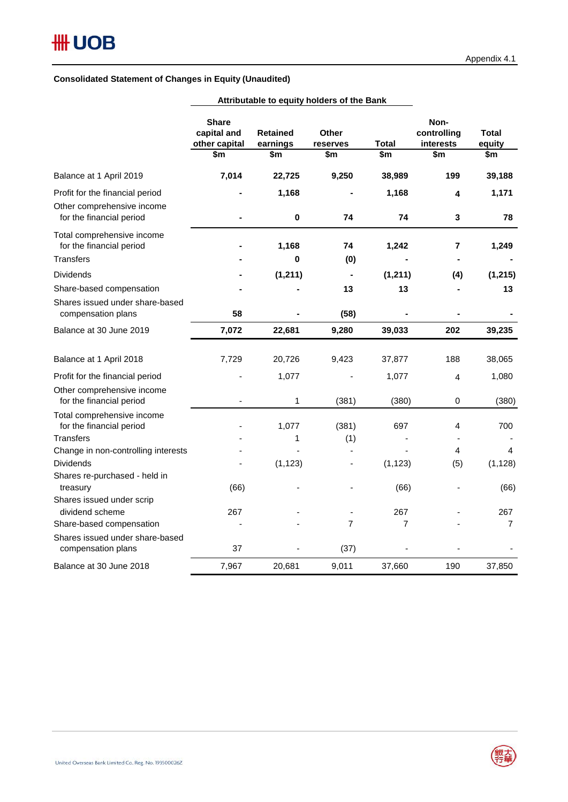## **Consolidated Statement of Changes in Equity (Unaudited)**

|                                                        | Attributable to equity holders of the Bank          |                                    |                                 |                |                                         |                        |
|--------------------------------------------------------|-----------------------------------------------------|------------------------------------|---------------------------------|----------------|-----------------------------------------|------------------------|
|                                                        | <b>Share</b><br>capital and<br>other capital<br>\$m | <b>Retained</b><br>earnings<br>\$m | <b>Other</b><br>reserves<br>\$m | Total<br>\$m   | Non-<br>controlling<br>interests<br>\$m | Total<br>equity<br>\$m |
| Balance at 1 April 2019                                | 7,014                                               | 22,725                             | 9,250                           | 38,989         | 199                                     | 39,188                 |
| Profit for the financial period                        |                                                     | 1,168                              |                                 | 1,168          | 4                                       | 1,171                  |
| Other comprehensive income<br>for the financial period |                                                     | 0                                  | 74                              | 74             | 3                                       | 78                     |
| Total comprehensive income<br>for the financial period |                                                     | 1,168                              | 74                              | 1,242          | 7                                       | 1,249                  |
| <b>Transfers</b>                                       |                                                     | 0                                  | (0)                             |                |                                         |                        |
| <b>Dividends</b>                                       |                                                     | (1, 211)                           |                                 | (1, 211)       | (4)                                     | (1, 215)               |
| Share-based compensation                               |                                                     |                                    | 13                              | 13             |                                         | 13                     |
| Shares issued under share-based<br>compensation plans  | 58                                                  |                                    | (58)                            |                |                                         |                        |
| Balance at 30 June 2019                                | 7,072                                               | 22,681                             | 9,280                           | 39,033         | 202                                     | 39,235                 |
| Balance at 1 April 2018                                | 7,729                                               | 20,726                             | 9,423                           | 37,877         | 188                                     | 38,065                 |
| Profit for the financial period                        |                                                     | 1,077                              |                                 | 1,077          | $\overline{4}$                          | 1,080                  |
| Other comprehensive income<br>for the financial period | $\blacksquare$                                      | $\mathbf 1$                        | (381)                           | (380)          | 0                                       | (380)                  |
| Total comprehensive income<br>for the financial period |                                                     | 1,077                              | (381)                           | 697            | 4                                       | 700                    |
| <b>Transfers</b>                                       |                                                     | 1                                  | (1)                             |                |                                         |                        |
| Change in non-controlling interests                    |                                                     |                                    |                                 |                | 4                                       | 4                      |
| <b>Dividends</b>                                       |                                                     | (1, 123)                           |                                 | (1, 123)       | (5)                                     | (1, 128)               |
| Shares re-purchased - held in<br>treasury              | (66)                                                |                                    |                                 | (66)           |                                         | (66)                   |
| Shares issued under scrip                              |                                                     |                                    |                                 |                |                                         |                        |
| dividend scheme                                        | 267                                                 |                                    |                                 | 267            |                                         | 267                    |
| Share-based compensation                               |                                                     |                                    | 7                               | $\overline{7}$ |                                         | $\overline{7}$         |
| Shares issued under share-based<br>compensation plans  | 37                                                  |                                    | (37)                            |                |                                         |                        |
| Balance at 30 June 2018                                | 7,967                                               | 20,681                             | 9,011                           | 37,660         | 190                                     | 37,850                 |

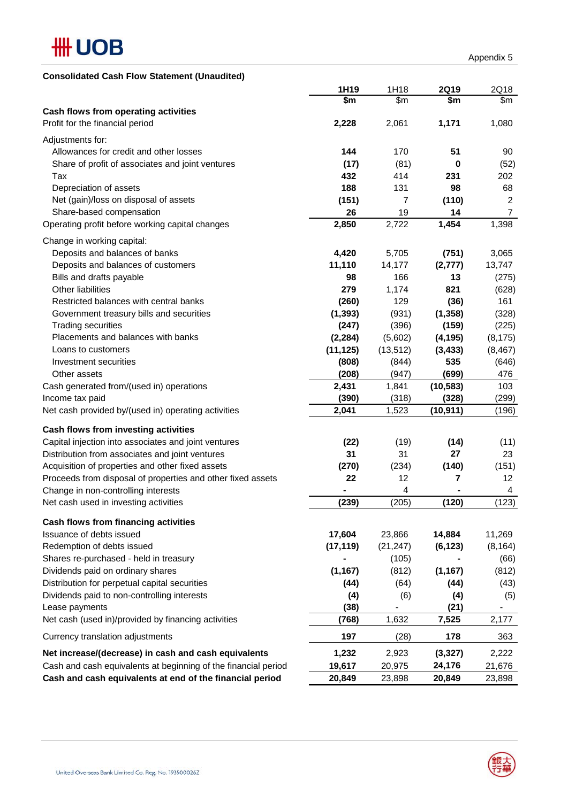

| <b>Consolidated Cash Flow Statement (Unaudited)</b>            |           |           |             |                  |
|----------------------------------------------------------------|-----------|-----------|-------------|------------------|
|                                                                | 1H19      | 1H18      | <b>2Q19</b> | 2Q18             |
|                                                                | \$m       | \$m\$     | \$m         | \$m              |
| Cash flows from operating activities                           |           |           |             |                  |
| Profit for the financial period                                | 2,228     | 2,061     | 1,171       | 1,080            |
| Adjustments for:                                               |           |           |             |                  |
| Allowances for credit and other losses                         | 144       | 170       | 51          | 90               |
| Share of profit of associates and joint ventures               | (17)      | (81)      | 0           | (52)             |
| Tax                                                            | 432       | 414       | 231         | 202              |
| Depreciation of assets                                         | 188       | 131       | 98          | 68               |
| Net (gain)/loss on disposal of assets                          | (151)     | 7         | (110)       | 2                |
| Share-based compensation                                       | 26        | 19        | 14          | $\boldsymbol{7}$ |
| Operating profit before working capital changes                | 2,850     | 2,722     | 1,454       | 1,398            |
| Change in working capital:                                     |           |           |             |                  |
| Deposits and balances of banks                                 | 4,420     | 5,705     | (751)       | 3,065            |
| Deposits and balances of customers                             | 11,110    | 14,177    | (2, 777)    | 13,747           |
| Bills and drafts payable                                       | 98        | 166       | 13          | (275)            |
| Other liabilities                                              | 279       | 1,174     | 821         | (628)            |
| Restricted balances with central banks                         | (260)     | 129       | (36)        | 161              |
| Government treasury bills and securities                       | (1, 393)  | (931)     | (1, 358)    | (328)            |
| <b>Trading securities</b>                                      | (247)     | (396)     | (159)       | (225)            |
| Placements and balances with banks                             | (2, 284)  | (5,602)   | (4, 195)    | (8, 175)         |
| Loans to customers                                             | (11, 125) | (13, 512) | (3, 433)    | (8, 467)         |
| Investment securities                                          | (808)     | (844)     | 535         | (646)            |
| Other assets                                                   | (208)     | (947)     | (699)       | 476              |
| Cash generated from/(used in) operations                       | 2,431     | 1,841     | (10, 583)   | 103              |
| Income tax paid                                                | (390)     | (318)     | (328)       | (299)            |
| Net cash provided by/(used in) operating activities            | 2,041     | 1,523     | (10, 911)   | (196)            |
|                                                                |           |           |             |                  |
| Cash flows from investing activities                           |           |           |             |                  |
| Capital injection into associates and joint ventures           | (22)      | (19)      | (14)        | (11)             |
| Distribution from associates and joint ventures                | 31        | 31        | 27          | 23               |
| Acquisition of properties and other fixed assets               | (270)     | (234)     | (140)       | (151)            |
| Proceeds from disposal of properties and other fixed assets    | 22        | 12        | 7           | 12 <sub>2</sub>  |
| Change in non-controlling interests                            | ۰         | 4         | ۰           | 4                |
| Net cash used in investing activities                          | (239)     | (205)     | (120)       | (123)            |
| Cash flows from financing activities                           |           |           |             |                  |
| Issuance of debts issued                                       | 17,604    | 23,866    | 14,884      | 11,269           |
| Redemption of debts issued                                     | (17, 119) | (21, 247) | (6, 123)    | (8, 164)         |
| Shares re-purchased - held in treasury                         |           | (105)     |             | (66)             |
| Dividends paid on ordinary shares                              | (1, 167)  | (812)     | (1, 167)    | (812)            |
| Distribution for perpetual capital securities                  | (44)      | (64)      | (44)        | (43)             |
| Dividends paid to non-controlling interests                    | (4)       | (6)       | (4)         | (5)              |
| Lease payments                                                 | (38)      |           | (21)        |                  |
| Net cash (used in)/provided by financing activities            | (768)     | 1,632     | 7,525       | 2,177            |
| Currency translation adjustments                               | 197       | (28)      | 178         | 363              |
| Net increase/(decrease) in cash and cash equivalents           | 1,232     | 2,923     | (3, 327)    | 2,222            |
| Cash and cash equivalents at beginning of the financial period | 19,617    | 20,975    | 24,176      | 21,676           |
| Cash and cash equivalents at end of the financial period       | 20,849    | 23,898    | 20,849      | 23,898           |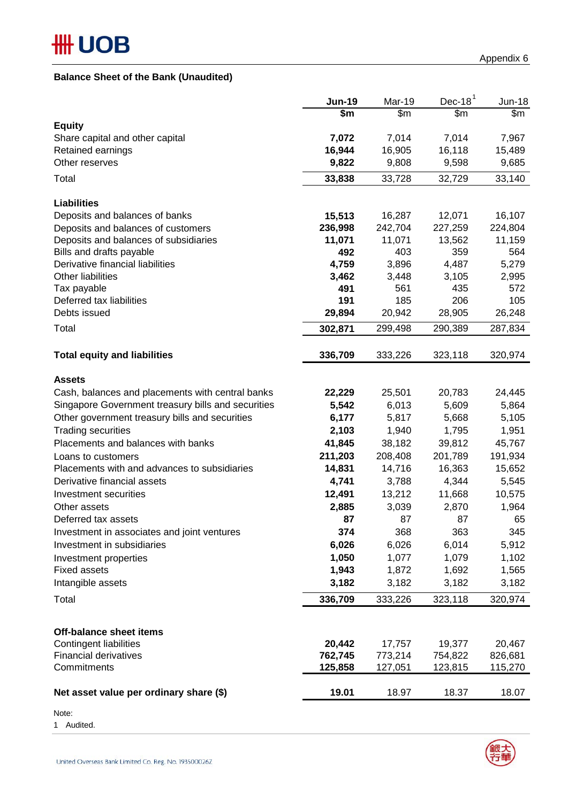# **HH UOB**

## **Balance Sheet of the Bank (Unaudited)**

|                                                    | <b>Jun-19</b>      | Mar-19             | Dec-18 $1$         | <b>Jun-18</b>      |
|----------------------------------------------------|--------------------|--------------------|--------------------|--------------------|
|                                                    | \$m                | \$m\$              | \$m                | \$m                |
| <b>Equity</b>                                      |                    |                    |                    |                    |
| Share capital and other capital                    | 7,072              | 7,014              | 7,014              | 7,967              |
| Retained earnings<br>Other reserves                | 16,944             | 16,905             | 16,118<br>9,598    | 15,489             |
|                                                    | 9,822              | 9,808              |                    | 9,685              |
| Total                                              | 33,838             | 33,728             | 32,729             | 33,140             |
| <b>Liabilities</b>                                 |                    |                    |                    |                    |
| Deposits and balances of banks                     | 15,513             | 16,287             | 12,071             | 16,107             |
| Deposits and balances of customers                 | 236,998            | 242,704            | 227,259            | 224,804            |
| Deposits and balances of subsidiaries              | 11,071             | 11,071             | 13,562             | 11,159             |
| Bills and drafts payable                           | 492                | 403                | 359                | 564                |
| Derivative financial liabilities                   | 4,759              | 3,896              | 4,487              | 5,279              |
| Other liabilities                                  | 3,462              | 3,448              | 3,105              | 2,995              |
| Tax payable                                        | 491                | 561                | 435                | 572                |
| Deferred tax liabilities                           | 191                | 185                | 206                | 105                |
| Debts issued                                       | 29,894             | 20,942             | 28,905             | 26,248             |
| Total                                              | 302,871            | 299,498            | 290,389            | 287,834            |
|                                                    |                    |                    |                    |                    |
| <b>Total equity and liabilities</b>                | 336,709            | 333,226            | 323,118            | 320,974            |
| <b>Assets</b>                                      |                    |                    |                    |                    |
| Cash, balances and placements with central banks   | 22,229             | 25,501             | 20,783             | 24,445             |
| Singapore Government treasury bills and securities | 5,542              | 6,013              | 5,609              | 5,864              |
| Other government treasury bills and securities     | 6,177              | 5,817              | 5,668              | 5,105              |
| <b>Trading securities</b>                          | 2,103              | 1,940              | 1,795              | 1,951              |
| Placements and balances with banks                 | 41,845             | 38,182             | 39,812             | 45,767             |
| Loans to customers                                 | 211,203            | 208,408            | 201,789            | 191,934            |
| Placements with and advances to subsidiaries       | 14,831             | 14,716             | 16,363             | 15,652             |
| Derivative financial assets                        | 4,741              | 3,788              | 4,344              | 5,545              |
| Investment securities                              | 12,491             | 13,212             | 11,668             | 10,575             |
| Other assets                                       | 2,885              | 3,039              | 2,870              | 1,964              |
| Deferred tax assets                                | 87                 | 87                 | 87                 | 65                 |
| Investment in associates and joint ventures        | 374                | 368                | 363                | 345                |
| Investment in subsidiaries                         | 6,026              | 6,026              | 6,014              | 5,912              |
|                                                    | 1,050              | 1,077              | 1,079              | 1,102              |
| Investment properties<br><b>Fixed assets</b>       | 1,943              | 1,872              | 1,692              | 1,565              |
| Intangible assets                                  | 3,182              | 3,182              | 3,182              | 3,182              |
|                                                    |                    |                    |                    |                    |
| Total                                              | 336,709            | 333,226            | 323,118            | 320,974            |
|                                                    |                    |                    |                    |                    |
| <b>Off-balance sheet items</b>                     |                    |                    |                    |                    |
| <b>Contingent liabilities</b>                      | 20,442             | 17,757             | 19,377             | 20,467             |
| <b>Financial derivatives</b><br>Commitments        | 762,745<br>125,858 | 773,214<br>127,051 | 754,822<br>123,815 | 826,681<br>115,270 |
|                                                    |                    |                    |                    |                    |
| Net asset value per ordinary share (\$)            | 19.01              | 18.97              | 18.37              | 18.07              |

Note:

1 Audited.



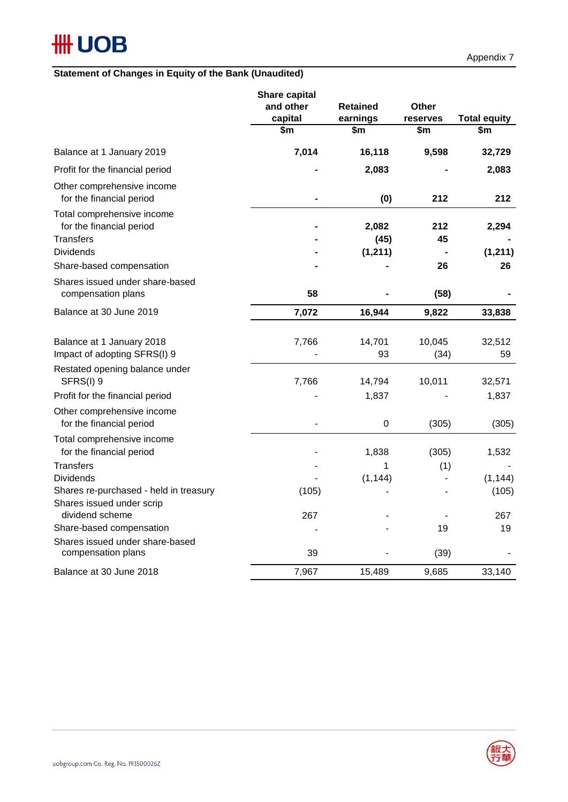# **HH UOB**

## **Statement of Changes in Equity of the Bank (Unaudited)**

|                                                                     | Share capital<br>and other<br>capital<br>\$m | <b>Retained</b><br>earnings<br>\$m | <b>Other</b><br>reserves<br>\$m | <b>Total equity</b><br>\$m |
|---------------------------------------------------------------------|----------------------------------------------|------------------------------------|---------------------------------|----------------------------|
|                                                                     |                                              |                                    |                                 |                            |
| Balance at 1 January 2019                                           | 7,014                                        | 16,118                             | 9,598                           | 32,729                     |
| Profit for the financial period                                     |                                              | 2,083                              |                                 | 2,083                      |
| Other comprehensive income<br>for the financial period              |                                              | (0)                                | 212                             | 212                        |
| Total comprehensive income<br>for the financial period              |                                              | 2,082                              | 212                             | 2,294                      |
| <b>Transfers</b>                                                    |                                              | (45)                               | 45                              |                            |
| <b>Dividends</b>                                                    |                                              | (1, 211)                           |                                 | (1, 211)                   |
| Share-based compensation                                            |                                              |                                    | 26                              | 26                         |
| Shares issued under share-based<br>compensation plans               | 58                                           |                                    | (58)                            |                            |
| Balance at 30 June 2019                                             | 7,072                                        | 16,944                             | 9,822                           | 33,838                     |
| Balance at 1 January 2018<br>Impact of adopting SFRS(I) 9           | 7,766                                        | 14,701<br>93                       | 10,045<br>(34)                  | 32,512<br>59               |
| Restated opening balance under<br>SFRS(I) 9                         | 7,766                                        | 14,794                             | 10,011                          | 32,571                     |
| Profit for the financial period                                     |                                              | 1,837                              |                                 | 1,837                      |
| Other comprehensive income<br>for the financial period              |                                              | 0                                  | (305)                           | (305)                      |
| Total comprehensive income<br>for the financial period              |                                              | 1,838                              | (305)                           | 1,532                      |
| <b>Transfers</b>                                                    |                                              | 1                                  | (1)                             |                            |
| <b>Dividends</b>                                                    |                                              | (1, 144)                           |                                 | (1, 144)                   |
| Shares re-purchased - held in treasury<br>Shares issued under scrip | (105)                                        |                                    |                                 | (105)                      |
| dividend scheme                                                     | 267                                          |                                    |                                 | 267                        |
| Share-based compensation                                            |                                              |                                    | 19                              | 19                         |
| Shares issued under share-based<br>compensation plans               | 39                                           |                                    | (39)                            |                            |
| Balance at 30 June 2018                                             | 7,967                                        | 15,489                             | 9,685                           | 33,140                     |